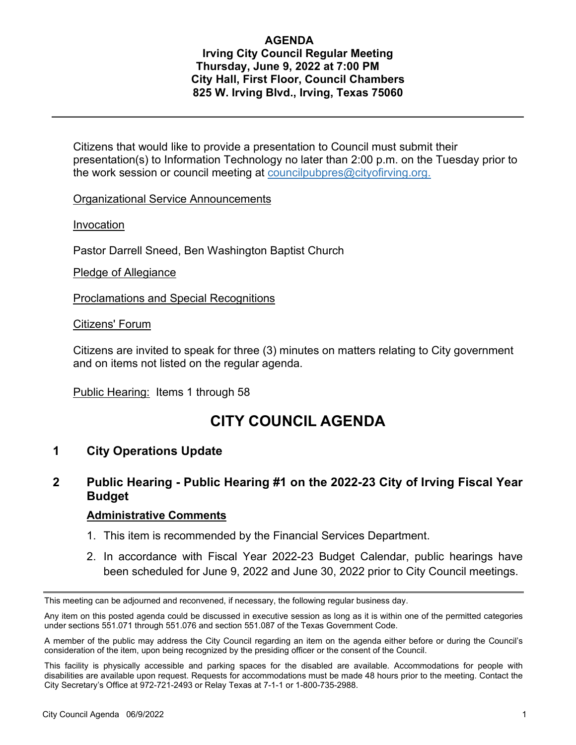### **AGENDA Irving City Council Regular Meeting Thursday, June 9, 2022 at 7:00 PM City Hall, First Floor, Council Chambers 825 W. Irving Blvd., Irving, Texas 75060**

Citizens that would like to provide a presentation to Council must submit their presentation(s) to Information Technology no later than 2:00 p.m. on the Tuesday prior to the work session or council meeting at councilpubpres@cityofirving.org.

Organizational Service Announcements

Invocation

Pastor Darrell Sneed, Ben Washington Baptist Church

Pledge of Allegiance

Proclamations and Special Recognitions

Citizens' Forum

Citizens are invited to speak for three (3) minutes on matters relating to City government and on items not listed on the regular agenda.

Public Hearing: Items 1 through 58

# **CITY COUNCIL AGENDA**

### **1 City Operations Update**

## **2 Public Hearing - Public Hearing #1 on the 2022-23 City of Irving Fiscal Year Budget**

- 1. This item is recommended by the Financial Services Department.
- 2. In accordance with Fiscal Year 2022-23 Budget Calendar, public hearings have been scheduled for June 9, 2022 and June 30, 2022 prior to City Council meetings.

This meeting can be adjourned and reconvened, if necessary, the following regular business day.

Any item on this posted agenda could be discussed in executive session as long as it is within one of the permitted categories under sections 551.071 through 551.076 and section 551.087 of the Texas Government Code.

A member of the public may address the City Council regarding an item on the agenda either before or during the Council's consideration of the item, upon being recognized by the presiding officer or the consent of the Council.

This facility is physically accessible and parking spaces for the disabled are available. Accommodations for people with disabilities are available upon request. Requests for accommodations must be made 48 hours prior to the meeting. Contact the City Secretary's Office at 972-721-2493 or Relay Texas at 7-1-1 or 1-800-735-2988.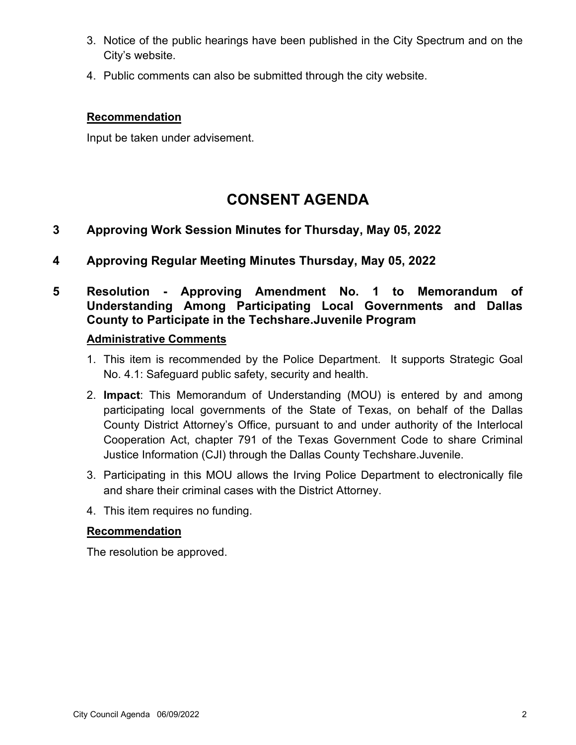- 3. Notice of the public hearings have been published in the City Spectrum and on the City's website.
- 4. Public comments can also be submitted through the city website.

Input be taken under advisement.

# **CONSENT AGENDA**

## **3 Approving Work Session Minutes for Thursday, May 05, 2022**

**4 Approving Regular Meeting Minutes Thursday, May 05, 2022**

## **5 Resolution - Approving Amendment No. 1 to Memorandum of Understanding Among Participating Local Governments and Dallas County to Participate in the Techshare.Juvenile Program**

### **Administrative Comments**

- 1. This item is recommended by the Police Department. It supports Strategic Goal No. 4.1: Safeguard public safety, security and health.
- 2. **Impact**: This Memorandum of Understanding (MOU) is entered by and among participating local governments of the State of Texas, on behalf of the Dallas County District Attorney's Office, pursuant to and under authority of the Interlocal Cooperation Act, chapter 791 of the Texas Government Code to share Criminal Justice Information (CJI) through the Dallas County Techshare.Juvenile.
- 3. Participating in this MOU allows the Irving Police Department to electronically file and share their criminal cases with the District Attorney.
- 4. This item requires no funding.

### **Recommendation**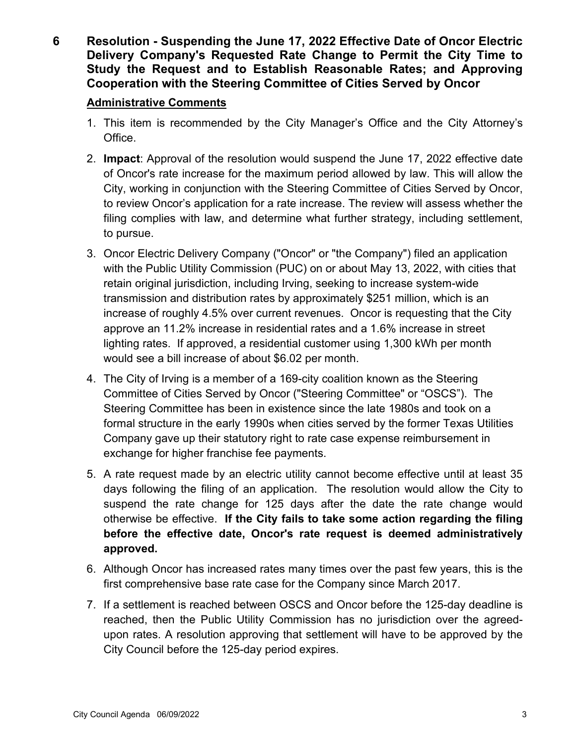**6 Resolution - Suspending the June 17, 2022 Effective Date of Oncor Electric Delivery Company's Requested Rate Change to Permit the City Time to Study the Request and to Establish Reasonable Rates; and Approving Cooperation with the Steering Committee of Cities Served by Oncor**

- 1. This item is recommended by the City Manager's Office and the City Attorney's Office.
- 2. **Impact**: Approval of the resolution would suspend the June 17, 2022 effective date of Oncor's rate increase for the maximum period allowed by law. This will allow the City, working in conjunction with the Steering Committee of Cities Served by Oncor, to review Oncor's application for a rate increase. The review will assess whether the filing complies with law, and determine what further strategy, including settlement, to pursue.
- 3. Oncor Electric Delivery Company ("Oncor" or "the Company") filed an application with the Public Utility Commission (PUC) on or about May 13, 2022, with cities that retain original jurisdiction, including Irving, seeking to increase system-wide transmission and distribution rates by approximately \$251 million, which is an increase of roughly 4.5% over current revenues. Oncor is requesting that the City approve an 11.2% increase in residential rates and a 1.6% increase in street lighting rates. If approved, a residential customer using 1,300 kWh per month would see a bill increase of about \$6.02 per month.
- 4. The City of Irving is a member of a 169-city coalition known as the Steering Committee of Cities Served by Oncor ("Steering Committee" or "OSCS"). The Steering Committee has been in existence since the late 1980s and took on a formal structure in the early 1990s when cities served by the former Texas Utilities Company gave up their statutory right to rate case expense reimbursement in exchange for higher franchise fee payments.
- 5. A rate request made by an electric utility cannot become effective until at least 35 days following the filing of an application. The resolution would allow the City to suspend the rate change for 125 days after the date the rate change would otherwise be effective. **If the City fails to take some action regarding the filing before the effective date, Oncor's rate request is deemed administratively approved.**
- 6. Although Oncor has increased rates many times over the past few years, this is the first comprehensive base rate case for the Company since March 2017.
- 7. If a settlement is reached between OSCS and Oncor before the 125-day deadline is reached, then the Public Utility Commission has no jurisdiction over the agreedupon rates. A resolution approving that settlement will have to be approved by the City Council before the 125-day period expires.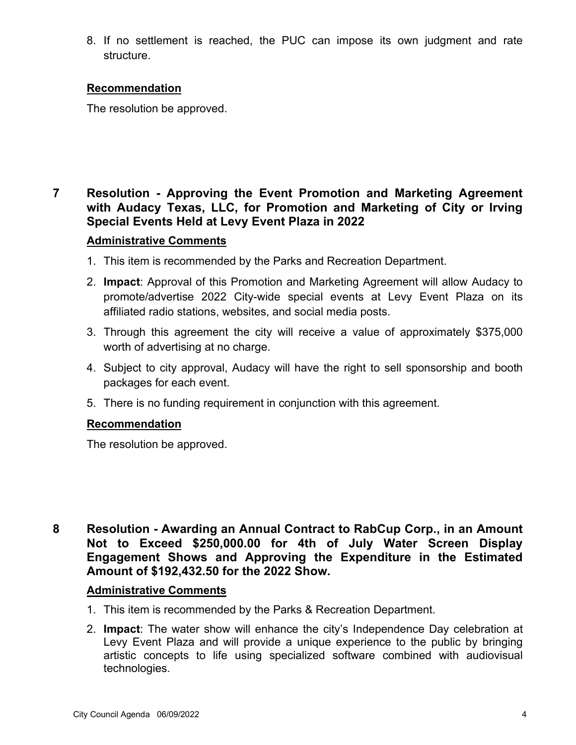8. If no settlement is reached, the PUC can impose its own judgment and rate structure.

### **Recommendation**

The resolution be approved.

## **7 Resolution - Approving the Event Promotion and Marketing Agreement with Audacy Texas, LLC, for Promotion and Marketing of City or Irving Special Events Held at Levy Event Plaza in 2022**

### **Administrative Comments**

- 1. This item is recommended by the Parks and Recreation Department.
- 2. **Impact**: Approval of this Promotion and Marketing Agreement will allow Audacy to promote/advertise 2022 City-wide special events at Levy Event Plaza on its affiliated radio stations, websites, and social media posts.
- 3. Through this agreement the city will receive a value of approximately \$375,000 worth of advertising at no charge.
- 4. Subject to city approval, Audacy will have the right to sell sponsorship and booth packages for each event.
- 5. There is no funding requirement in conjunction with this agreement.

### **Recommendation**

The resolution be approved.

**8 Resolution - Awarding an Annual Contract to RabCup Corp., in an Amount Not to Exceed \$250,000.00 for 4th of July Water Screen Display Engagement Shows and Approving the Expenditure in the Estimated Amount of \$192,432.50 for the 2022 Show.**

- 1. This item is recommended by the Parks & Recreation Department.
- 2. **Impact**: The water show will enhance the city's Independence Day celebration at Levy Event Plaza and will provide a unique experience to the public by bringing artistic concepts to life using specialized software combined with audiovisual technologies.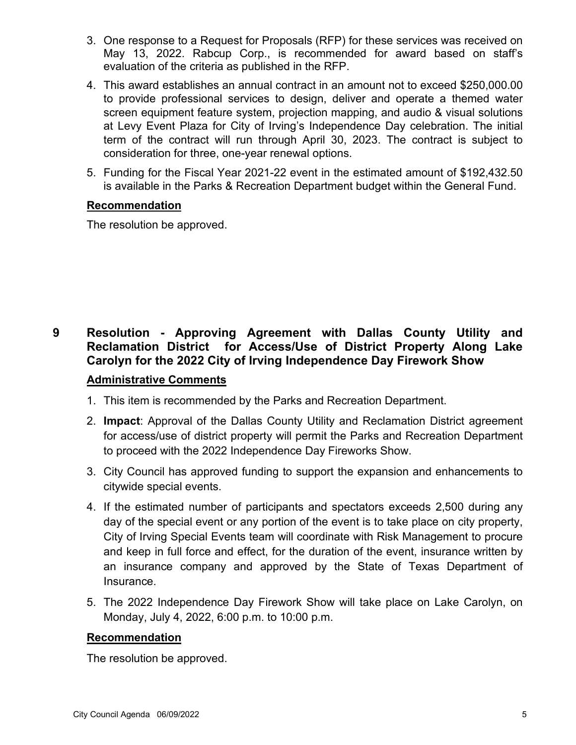- 3. One response to a Request for Proposals (RFP) for these services was received on May 13, 2022. Rabcup Corp., is recommended for award based on staff's evaluation of the criteria as published in the RFP.
- 4. This award establishes an annual contract in an amount not to exceed \$250,000.00 to provide professional services to design, deliver and operate a themed water screen equipment feature system, projection mapping, and audio & visual solutions at Levy Event Plaza for City of Irving's Independence Day celebration. The initial term of the contract will run through April 30, 2023. The contract is subject to consideration for three, one-year renewal options.
- 5. Funding for the Fiscal Year 2021-22 event in the estimated amount of \$192,432.50 is available in the Parks & Recreation Department budget within the General Fund.

The resolution be approved.

## **9 Resolution - Approving Agreement with Dallas County Utility and Reclamation District for Access/Use of District Property Along Lake Carolyn for the 2022 City of Irving Independence Day Firework Show**

### **Administrative Comments**

- 1. This item is recommended by the Parks and Recreation Department.
- 2. **Impact**: Approval of the Dallas County Utility and Reclamation District agreement for access/use of district property will permit the Parks and Recreation Department to proceed with the 2022 Independence Day Fireworks Show.
- 3. City Council has approved funding to support the expansion and enhancements to citywide special events.
- 4. If the estimated number of participants and spectators exceeds 2,500 during any day of the special event or any portion of the event is to take place on city property, City of Irving Special Events team will coordinate with Risk Management to procure and keep in full force and effect, for the duration of the event, insurance written by an insurance company and approved by the State of Texas Department of Insurance.
- 5. The 2022 Independence Day Firework Show will take place on Lake Carolyn, on Monday, July 4, 2022, 6:00 p.m. to 10:00 p.m.

### **Recommendation**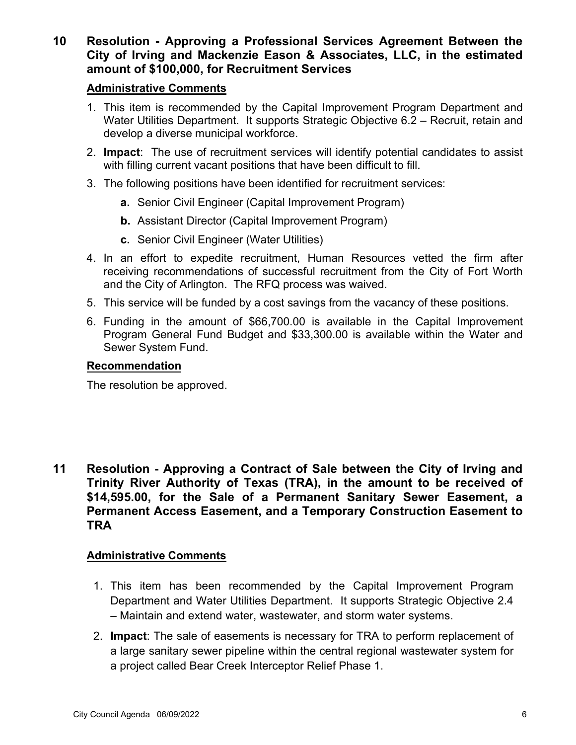**10 Resolution - Approving a Professional Services Agreement Between the City of Irving and Mackenzie Eason & Associates, LLC, in the estimated amount of \$100,000, for Recruitment Services**

### **Administrative Comments**

- 1. This item is recommended by the Capital Improvement Program Department and Water Utilities Department. It supports Strategic Objective 6.2 – Recruit, retain and develop a diverse municipal workforce.
- 2. **Impact**: The use of recruitment services will identify potential candidates to assist with filling current vacant positions that have been difficult to fill.
- 3. The following positions have been identified for recruitment services:
	- **a.** Senior Civil Engineer (Capital Improvement Program)
	- **b.** Assistant Director (Capital Improvement Program)
	- **c.** Senior Civil Engineer (Water Utilities)
- 4. In an effort to expedite recruitment, Human Resources vetted the firm after receiving recommendations of successful recruitment from the City of Fort Worth and the City of Arlington. The RFQ process was waived.
- 5. This service will be funded by a cost savings from the vacancy of these positions.
- 6. Funding in the amount of \$66,700.00 is available in the Capital Improvement Program General Fund Budget and \$33,300.00 is available within the Water and Sewer System Fund.

### **Recommendation**

The resolution be approved.

**11 Resolution - Approving a Contract of Sale between the City of Irving and Trinity River Authority of Texas (TRA), in the amount to be received of \$14,595.00, for the Sale of a Permanent Sanitary Sewer Easement, a Permanent Access Easement, and a Temporary Construction Easement to TRA**

- 1. This item has been recommended by the Capital Improvement Program Department and Water Utilities Department. It supports Strategic Objective 2.4 – Maintain and extend water, wastewater, and storm water systems.
- 2. **Impact**: The sale of easements is necessary for TRA to perform replacement of a large sanitary sewer pipeline within the central regional wastewater system for a project called Bear Creek Interceptor Relief Phase 1.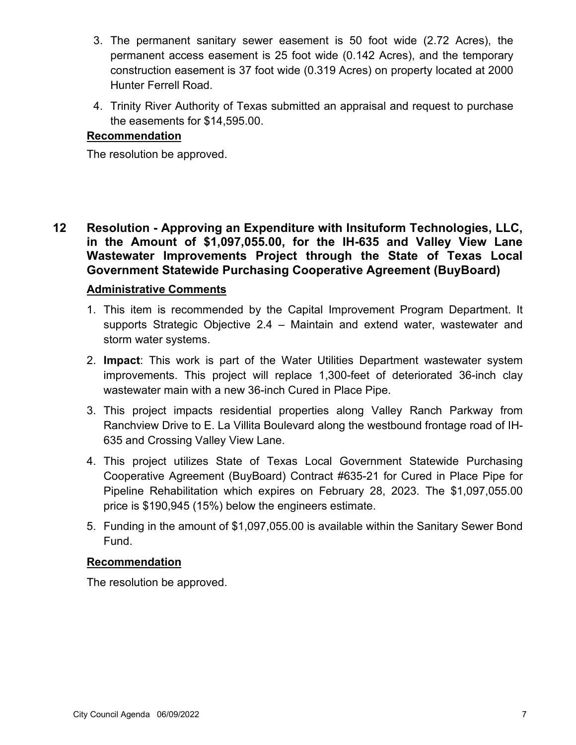- 3. The permanent sanitary sewer easement is 50 foot wide (2.72 Acres), the permanent access easement is 25 foot wide (0.142 Acres), and the temporary construction easement is 37 foot wide (0.319 Acres) on property located at 2000 Hunter Ferrell Road.
- 4. Trinity River Authority of Texas submitted an appraisal and request to purchase the easements for \$14,595.00.

The resolution be approved.

**12 Resolution - Approving an Expenditure with Insituform Technologies, LLC, in the Amount of \$1,097,055.00, for the IH-635 and Valley View Lane Wastewater Improvements Project through the State of Texas Local Government Statewide Purchasing Cooperative Agreement (BuyBoard)**

### **Administrative Comments**

- 1. This item is recommended by the Capital Improvement Program Department. It supports Strategic Objective 2.4 – Maintain and extend water, wastewater and storm water systems.
- 2. **Impact**: This work is part of the Water Utilities Department wastewater system improvements. This project will replace 1,300-feet of deteriorated 36-inch clay wastewater main with a new 36-inch Cured in Place Pipe.
- 3. This project impacts residential properties along Valley Ranch Parkway from Ranchview Drive to E. La Villita Boulevard along the westbound frontage road of IH-635 and Crossing Valley View Lane.
- 4. This project utilizes State of Texas Local Government Statewide Purchasing Cooperative Agreement (BuyBoard) Contract #635-21 for Cured in Place Pipe for Pipeline Rehabilitation which expires on February 28, 2023. The \$1,097,055.00 price is \$190,945 (15%) below the engineers estimate.
- 5. Funding in the amount of \$1,097,055.00 is available within the Sanitary Sewer Bond Fund.

### **Recommendation**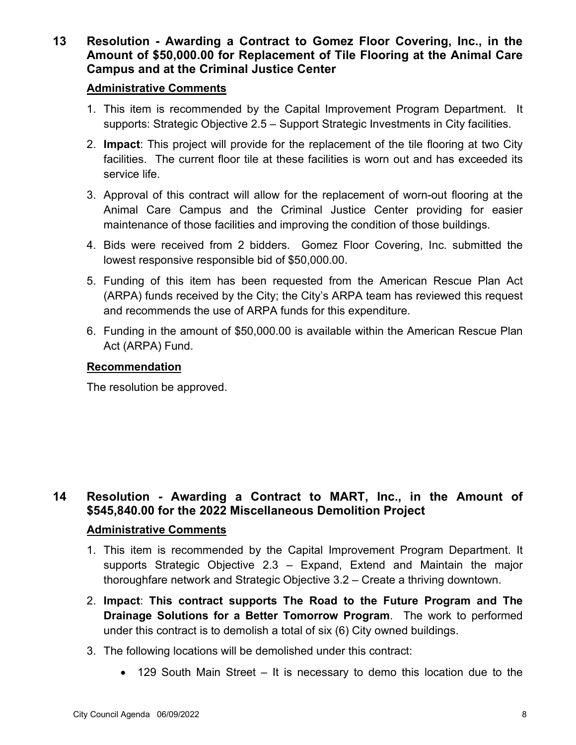**13 Resolution - Awarding a Contract to Gomez Floor Covering, Inc., in the Amount of \$50,000.00 for Replacement of Tile Flooring at the Animal Care Campus and at the Criminal Justice Center**

### **Administrative Comments**

- 1. This item is recommended by the Capital Improvement Program Department. It supports: Strategic Objective 2.5 – Support Strategic Investments in City facilities.
- 2. **Impact**: This project will provide for the replacement of the tile flooring at two City facilities. The current floor tile at these facilities is worn out and has exceeded its service life.
- 3. Approval of this contract will allow for the replacement of worn-out flooring at the Animal Care Campus and the Criminal Justice Center providing for easier maintenance of those facilities and improving the condition of those buildings.
- 4. Bids were received from 2 bidders. Gomez Floor Covering, Inc. submitted the lowest responsive responsible bid of \$50,000.00.
- 5. Funding of this item has been requested from the American Rescue Plan Act (ARPA) funds received by the City; the City's ARPA team has reviewed this request and recommends the use of ARPA funds for this expenditure.
- 6. Funding in the amount of \$50,000.00 is available within the American Rescue Plan Act (ARPA) Fund.

### **Recommendation**

The resolution be approved.

## **14 Resolution - Awarding a Contract to MART, Inc., in the Amount of \$545,840.00 for the 2022 Miscellaneous Demolition Project**

- 1. This item is recommended by the Capital Improvement Program Department. It supports Strategic Objective 2.3 – Expand, Extend and Maintain the major thoroughfare network and Strategic Objective 3.2 – Create a thriving downtown.
- 2. **Impact**: **This contract supports The Road to the Future Program and The Drainage Solutions for a Better Tomorrow Program**. The work to performed under this contract is to demolish a total of six (6) City owned buildings.
- 3. The following locations will be demolished under this contract:
	- 129 South Main Street It is necessary to demo this location due to the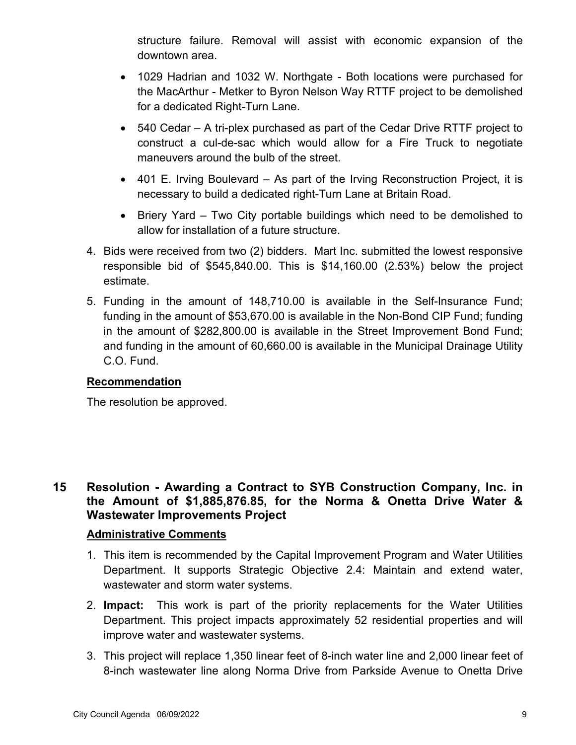structure failure. Removal will assist with economic expansion of the downtown area.

- 1029 Hadrian and 1032 W. Northgate Both locations were purchased for the MacArthur - Metker to Byron Nelson Way RTTF project to be demolished for a dedicated Right-Turn Lane.
- 540 Cedar A tri-plex purchased as part of the Cedar Drive RTTF project to construct a cul-de-sac which would allow for a Fire Truck to negotiate maneuvers around the bulb of the street.
- 401 E. Irving Boulevard As part of the Irving Reconstruction Project, it is necessary to build a dedicated right-Turn Lane at Britain Road.
- Briery Yard Two City portable buildings which need to be demolished to allow for installation of a future structure.
- 4. Bids were received from two (2) bidders. Mart Inc. submitted the lowest responsive responsible bid of \$545,840.00. This is \$14,160.00 (2.53%) below the project estimate.
- 5. Funding in the amount of 148,710.00 is available in the Self-Insurance Fund; funding in the amount of \$53,670.00 is available in the Non-Bond CIP Fund; funding in the amount of \$282,800.00 is available in the Street Improvement Bond Fund; and funding in the amount of 60,660.00 is available in the Municipal Drainage Utility C.O. Fund.

### **Recommendation**

The resolution be approved.

## **15 Resolution - Awarding a Contract to SYB Construction Company, Inc. in the Amount of \$1,885,876.85, for the Norma & Onetta Drive Water & Wastewater Improvements Project**

- 1. This item is recommended by the Capital Improvement Program and Water Utilities Department. It supports Strategic Objective 2.4: Maintain and extend water, wastewater and storm water systems.
- 2. **Impact:** This work is part of the priority replacements for the Water Utilities Department. This project impacts approximately 52 residential properties and will improve water and wastewater systems.
- 3. This project will replace 1,350 linear feet of 8-inch water line and 2,000 linear feet of 8-inch wastewater line along Norma Drive from Parkside Avenue to Onetta Drive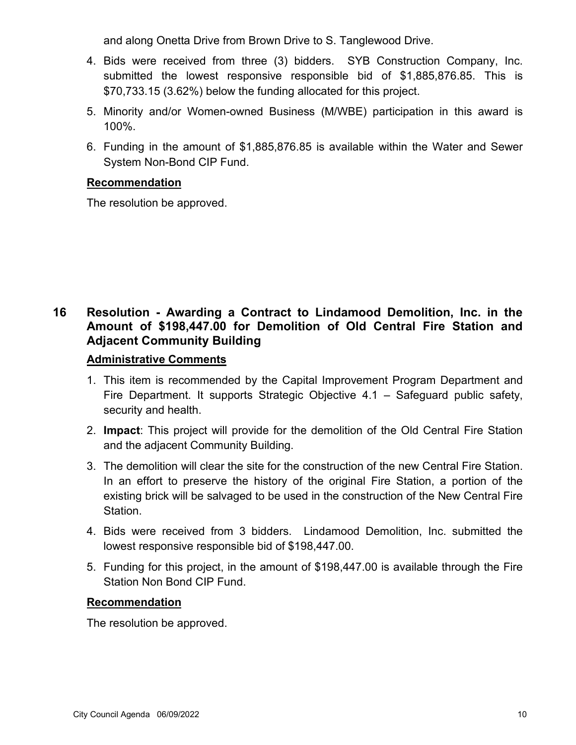and along Onetta Drive from Brown Drive to S. Tanglewood Drive.

- 4. Bids were received from three (3) bidders. SYB Construction Company, Inc. submitted the lowest responsive responsible bid of \$1,885,876.85. This is \$70,733.15 (3.62%) below the funding allocated for this project.
- 5. Minority and/or Women-owned Business (M/WBE) participation in this award is 100%.
- 6. Funding in the amount of \$1,885,876.85 is available within the Water and Sewer System Non-Bond CIP Fund.

### **Recommendation**

The resolution be approved.

## **16 Resolution - Awarding a Contract to Lindamood Demolition, Inc. in the Amount of \$198,447.00 for Demolition of Old Central Fire Station and Adjacent Community Building**

### **Administrative Comments**

- 1. This item is recommended by the Capital Improvement Program Department and Fire Department. It supports Strategic Objective 4.1 – Safeguard public safety, security and health.
- 2. **Impact**: This project will provide for the demolition of the Old Central Fire Station and the adjacent Community Building.
- 3. The demolition will clear the site for the construction of the new Central Fire Station. In an effort to preserve the history of the original Fire Station, a portion of the existing brick will be salvaged to be used in the construction of the New Central Fire Station.
- 4. Bids were received from 3 bidders. Lindamood Demolition, Inc. submitted the lowest responsive responsible bid of \$198,447.00.
- 5. Funding for this project, in the amount of \$198,447.00 is available through the Fire Station Non Bond CIP Fund.

### **Recommendation**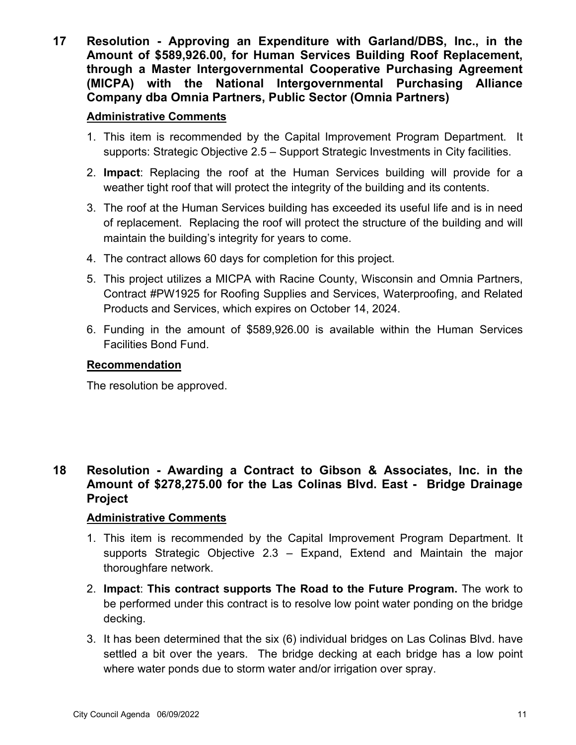**17 Resolution - Approving an Expenditure with Garland/DBS, Inc., in the Amount of \$589,926.00, for Human Services Building Roof Replacement, through a Master Intergovernmental Cooperative Purchasing Agreement (MICPA) with the National Intergovernmental Purchasing Alliance Company dba Omnia Partners, Public Sector (Omnia Partners)**

### **Administrative Comments**

- 1. This item is recommended by the Capital Improvement Program Department. It supports: Strategic Objective 2.5 – Support Strategic Investments in City facilities.
- 2. **Impact**: Replacing the roof at the Human Services building will provide for a weather tight roof that will protect the integrity of the building and its contents.
- 3. The roof at the Human Services building has exceeded its useful life and is in need of replacement. Replacing the roof will protect the structure of the building and will maintain the building's integrity for years to come.
- 4. The contract allows 60 days for completion for this project.
- 5. This project utilizes a MICPA with Racine County, Wisconsin and Omnia Partners, Contract #PW1925 for Roofing Supplies and Services, Waterproofing, and Related Products and Services, which expires on October 14, 2024.
- 6. Funding in the amount of \$589,926.00 is available within the Human Services Facilities Bond Fund.

### **Recommendation**

The resolution be approved.

## **18 Resolution - Awarding a Contract to Gibson & Associates, Inc. in the Amount of \$278,275.00 for the Las Colinas Blvd. East - Bridge Drainage Project**

- 1. This item is recommended by the Capital Improvement Program Department. It supports Strategic Objective 2.3 – Expand, Extend and Maintain the major thoroughfare network.
- 2. **Impact**: **This contract supports The Road to the Future Program.** The work to be performed under this contract is to resolve low point water ponding on the bridge decking.
- 3. It has been determined that the six (6) individual bridges on Las Colinas Blvd. have settled a bit over the years. The bridge decking at each bridge has a low point where water ponds due to storm water and/or irrigation over spray.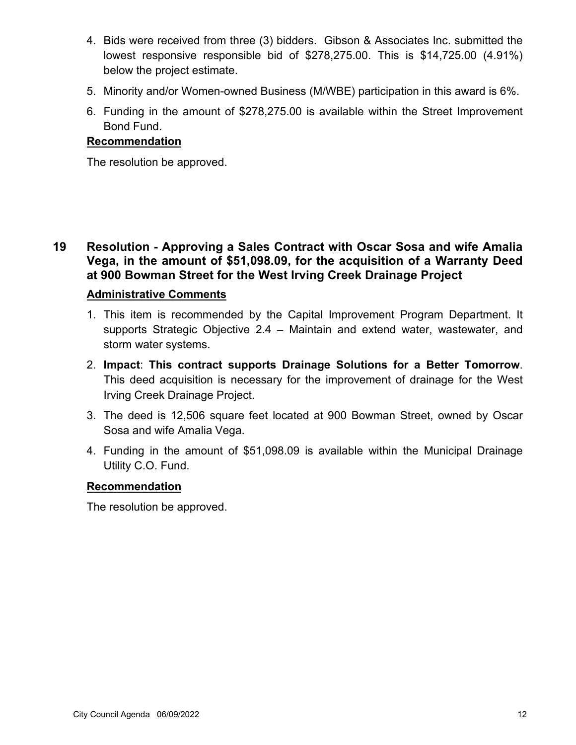- 4. Bids were received from three (3) bidders. Gibson & Associates Inc. submitted the lowest responsive responsible bid of \$278,275.00. This is \$14,725.00 (4.91%) below the project estimate.
- 5. Minority and/or Women-owned Business (M/WBE) participation in this award is 6%.
- 6. Funding in the amount of \$278,275.00 is available within the Street Improvement Bond Fund.

The resolution be approved.

**19 Resolution - Approving a Sales Contract with Oscar Sosa and wife Amalia Vega, in the amount of \$51,098.09, for the acquisition of a Warranty Deed at 900 Bowman Street for the West Irving Creek Drainage Project**

### **Administrative Comments**

- 1. This item is recommended by the Capital Improvement Program Department. It supports Strategic Objective 2.4 – Maintain and extend water, wastewater, and storm water systems.
- 2. **Impact**: **This contract supports Drainage Solutions for a Better Tomorrow**. This deed acquisition is necessary for the improvement of drainage for the West Irving Creek Drainage Project.
- 3. The deed is 12,506 square feet located at 900 Bowman Street, owned by Oscar Sosa and wife Amalia Vega.
- 4. Funding in the amount of \$51,098.09 is available within the Municipal Drainage Utility C.O. Fund.

### **Recommendation**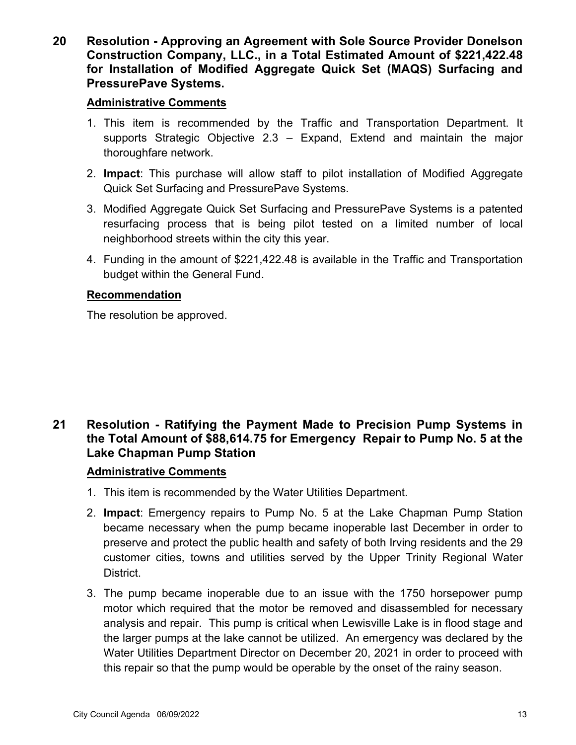**20 Resolution - Approving an Agreement with Sole Source Provider Donelson Construction Company, LLC., in a Total Estimated Amount of \$221,422.48 for Installation of Modified Aggregate Quick Set (MAQS) Surfacing and PressurePave Systems.**

### **Administrative Comments**

- 1. This item is recommended by the Traffic and Transportation Department. It supports Strategic Objective 2.3 – Expand, Extend and maintain the major thoroughfare network.
- 2. **Impact**: This purchase will allow staff to pilot installation of Modified Aggregate Quick Set Surfacing and PressurePave Systems.
- 3. Modified Aggregate Quick Set Surfacing and PressurePave Systems is a patented resurfacing process that is being pilot tested on a limited number of local neighborhood streets within the city this year.
- 4. Funding in the amount of \$221,422.48 is available in the Traffic and Transportation budget within the General Fund.

### **Recommendation**

The resolution be approved.

## **21 Resolution - Ratifying the Payment Made to Precision Pump Systems in the Total Amount of \$88,614.75 for Emergency Repair to Pump No. 5 at the Lake Chapman Pump Station**

- 1. This item is recommended by the Water Utilities Department.
- 2. **Impact**: Emergency repairs to Pump No. 5 at the Lake Chapman Pump Station became necessary when the pump became inoperable last December in order to preserve and protect the public health and safety of both Irving residents and the 29 customer cities, towns and utilities served by the Upper Trinity Regional Water District.
- 3. The pump became inoperable due to an issue with the 1750 horsepower pump motor which required that the motor be removed and disassembled for necessary analysis and repair. This pump is critical when Lewisville Lake is in flood stage and the larger pumps at the lake cannot be utilized. An emergency was declared by the Water Utilities Department Director on December 20, 2021 in order to proceed with this repair so that the pump would be operable by the onset of the rainy season.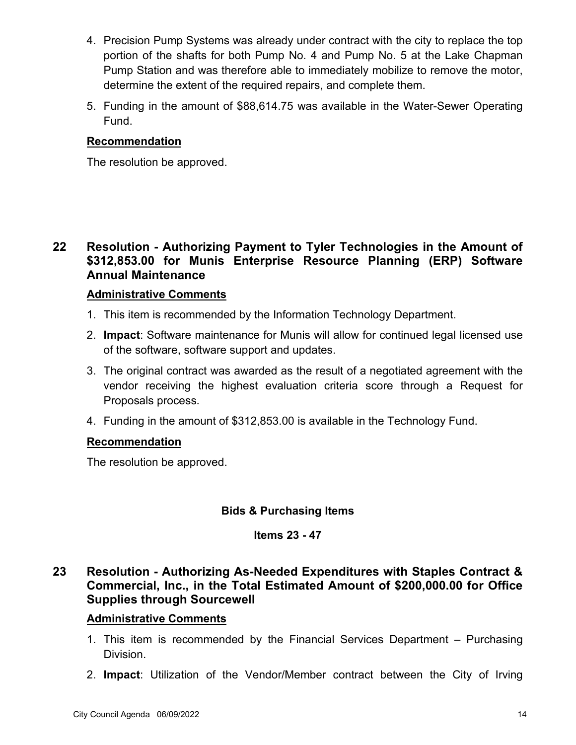- 4. Precision Pump Systems was already under contract with the city to replace the top portion of the shafts for both Pump No. 4 and Pump No. 5 at the Lake Chapman Pump Station and was therefore able to immediately mobilize to remove the motor, determine the extent of the required repairs, and complete them.
- 5. Funding in the amount of \$88,614.75 was available in the Water-Sewer Operating Fund.

The resolution be approved.

## **22 Resolution - Authorizing Payment to Tyler Technologies in the Amount of \$312,853.00 for Munis Enterprise Resource Planning (ERP) Software Annual Maintenance**

### **Administrative Comments**

- 1. This item is recommended by the Information Technology Department.
- 2. **Impact**: Software maintenance for Munis will allow for continued legal licensed use of the software, software support and updates.
- 3. The original contract was awarded as the result of a negotiated agreement with the vendor receiving the highest evaluation criteria score through a Request for Proposals process.
- 4. Funding in the amount of \$312,853.00 is available in the Technology Fund.

### **Recommendation**

The resolution be approved.

### **Bids & Purchasing Items**

### **Items 23 - 47**

## **23 Resolution - Authorizing As-Needed Expenditures with Staples Contract & Commercial, Inc., in the Total Estimated Amount of \$200,000.00 for Office Supplies through Sourcewell**

- 1. This item is recommended by the Financial Services Department Purchasing Division.
- 2. **Impact**: Utilization of the Vendor/Member contract between the City of Irving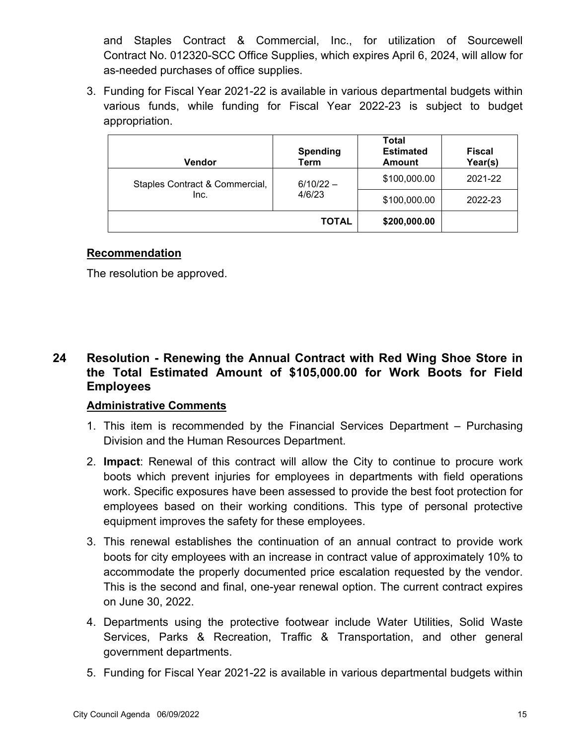and Staples Contract & Commercial, Inc., for utilization of Sourcewell Contract No. 012320-SCC Office Supplies, which expires April 6, 2024, will allow for as-needed purchases of office supplies.

3. Funding for Fiscal Year 2021-22 is available in various departmental budgets within various funds, while funding for Fiscal Year 2022-23 is subject to budget appropriation.

| <b>Vendor</b>                  | <b>Spending</b><br>Term | <b>Total</b><br><b>Estimated</b><br><b>Amount</b> | <b>Fiscal</b><br>Year(s) |
|--------------------------------|-------------------------|---------------------------------------------------|--------------------------|
| Staples Contract & Commercial, | $6/10/22 -$             | \$100,000.00                                      | 2021-22                  |
| Inc.                           | 4/6/23                  | \$100,000.00                                      | 2022-23                  |
|                                | <b>TOTAL</b>            | \$200,000.00                                      |                          |

### **Recommendation**

The resolution be approved.

## **24 Resolution - Renewing the Annual Contract with Red Wing Shoe Store in the Total Estimated Amount of \$105,000.00 for Work Boots for Field Employees**

- 1. This item is recommended by the Financial Services Department Purchasing Division and the Human Resources Department.
- 2. **Impact**: Renewal of this contract will allow the City to continue to procure work boots which prevent injuries for employees in departments with field operations work. Specific exposures have been assessed to provide the best foot protection for employees based on their working conditions. This type of personal protective equipment improves the safety for these employees.
- 3. This renewal establishes the continuation of an annual contract to provide work boots for city employees with an increase in contract value of approximately 10% to accommodate the properly documented price escalation requested by the vendor. This is the second and final, one-year renewal option. The current contract expires on June 30, 2022.
- 4. Departments using the protective footwear include Water Utilities, Solid Waste Services, Parks & Recreation, Traffic & Transportation, and other general government departments.
- 5. Funding for Fiscal Year 2021-22 is available in various departmental budgets within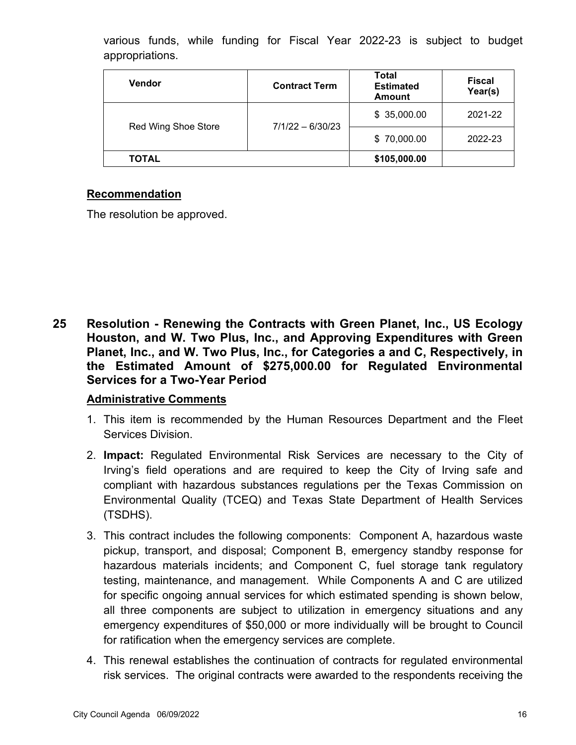|                 |  |  |  | various funds, while funding for Fiscal Year 2022-23 is subject to budget |  |  |
|-----------------|--|--|--|---------------------------------------------------------------------------|--|--|
| appropriations. |  |  |  |                                                                           |  |  |

| <b>Vendor</b>       | <b>Contract Term</b> | <b>Total</b><br><b>Estimated</b><br><b>Amount</b> | <b>Fiscal</b><br>Year(s) |
|---------------------|----------------------|---------------------------------------------------|--------------------------|
|                     |                      | \$35,000.00                                       | 2021-22                  |
| Red Wing Shoe Store | $7/1/22 - 6/30/23$   | \$70,000.00                                       | 2022-23                  |
| TOTAL               |                      | \$105,000.00                                      |                          |

The resolution be approved.

**25 Resolution - Renewing the Contracts with Green Planet, Inc., US Ecology Houston, and W. Two Plus, Inc., and Approving Expenditures with Green Planet, Inc., and W. Two Plus, Inc., for Categories a and C, Respectively, in the Estimated Amount of \$275,000.00 for Regulated Environmental Services for a Two-Year Period**

- 1. This item is recommended by the Human Resources Department and the Fleet Services Division.
- 2. **Impact:** Regulated Environmental Risk Services are necessary to the City of Irving's field operations and are required to keep the City of Irving safe and compliant with hazardous substances regulations per the Texas Commission on Environmental Quality (TCEQ) and Texas State Department of Health Services (TSDHS).
- 3. This contract includes the following components: Component A, hazardous waste pickup, transport, and disposal; Component B, emergency standby response for hazardous materials incidents; and Component C, fuel storage tank regulatory testing, maintenance, and management. While Components A and C are utilized for specific ongoing annual services for which estimated spending is shown below, all three components are subject to utilization in emergency situations and any emergency expenditures of \$50,000 or more individually will be brought to Council for ratification when the emergency services are complete.
- 4. This renewal establishes the continuation of contracts for regulated environmental risk services. The original contracts were awarded to the respondents receiving the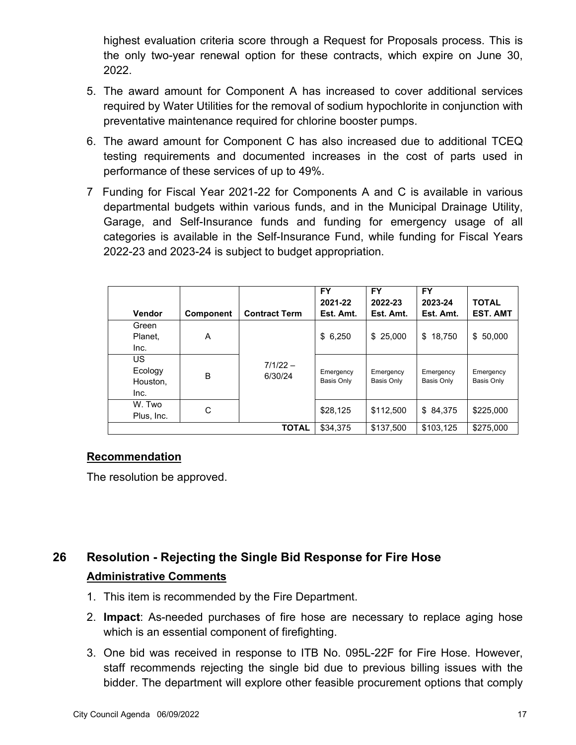highest evaluation criteria score through a Request for Proposals process. This is the only two-year renewal option for these contracts, which expire on June 30, 2022.

- 5. The award amount for Component A has increased to cover additional services required by Water Utilities for the removal of sodium hypochlorite in conjunction with preventative maintenance required for chlorine booster pumps.
- 6. The award amount for Component C has also increased due to additional TCEQ testing requirements and documented increases in the cost of parts used in performance of these services of up to 49%.
- 7 Funding for Fiscal Year 2021-22 for Components A and C is available in various departmental budgets within various funds, and in the Municipal Drainage Utility, Garage, and Self-Insurance funds and funding for emergency usage of all categories is available in the Self-Insurance Fund, while funding for Fiscal Years 2022-23 and 2023-24 is subject to budget appropriation.

|                                          |                  |                       | FY.<br>2021-22                 | <b>FY</b><br>2022-23    | <b>FY</b><br>2023-24    | <b>TOTAL</b>                   |
|------------------------------------------|------------------|-----------------------|--------------------------------|-------------------------|-------------------------|--------------------------------|
| Vendor                                   | <b>Component</b> | <b>Contract Term</b>  | Est. Amt.                      | Est. Amt.               | Est. Amt.               | <b>EST. AMT</b>                |
| Green<br>Planet,<br>Inc.                 | A                |                       | \$6,250                        | 25,000<br>\$            | 18,750<br>\$            | 50,000<br>\$                   |
| <b>US</b><br>Ecology<br>Houston.<br>Inc. | B                | $7/1/22 -$<br>6/30/24 | Emergency<br><b>Basis Only</b> | Emergency<br>Basis Only | Emergency<br>Basis Only | Emergency<br><b>Basis Only</b> |
| W. Two<br>Plus, Inc.                     | С                |                       | \$28,125                       | \$112,500               | \$84,375                | \$225,000                      |
|                                          |                  | <b>TOTAL</b>          | \$34.375                       | \$137,500               | \$103,125               | \$275,000                      |

### **Recommendation**

The resolution be approved.

## **26 Resolution - Rejecting the Single Bid Response for Fire Hose Administrative Comments**

- 1. This item is recommended by the Fire Department.
- 2. **Impact**: As-needed purchases of fire hose are necessary to replace aging hose which is an essential component of firefighting.
- 3. One bid was received in response to ITB No. 095L-22F for Fire Hose. However, staff recommends rejecting the single bid due to previous billing issues with the bidder. The department will explore other feasible procurement options that comply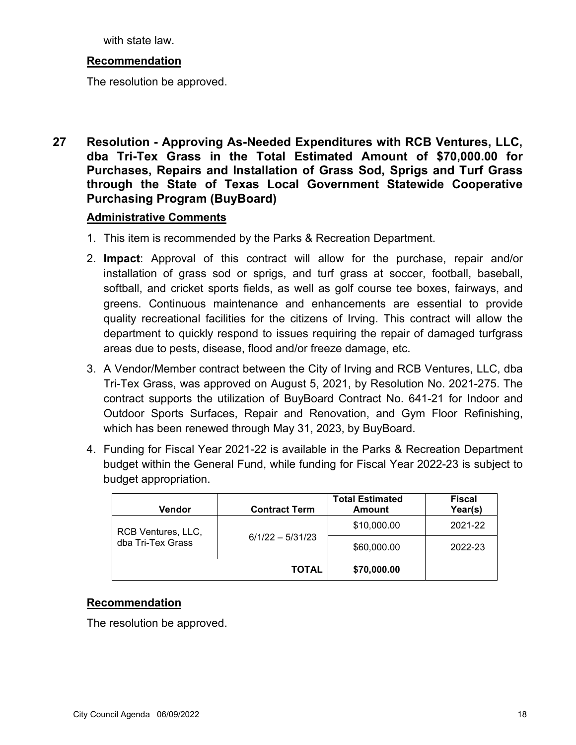with state law.

### **Recommendation**

The resolution be approved.

**27 Resolution - Approving As-Needed Expenditures with RCB Ventures, LLC, dba Tri-Tex Grass in the Total Estimated Amount of \$70,000.00 for Purchases, Repairs and Installation of Grass Sod, Sprigs and Turf Grass through the State of Texas Local Government Statewide Cooperative Purchasing Program (BuyBoard)**

#### **Administrative Comments**

- 1. This item is recommended by the Parks & Recreation Department.
- 2. **Impact**: Approval of this contract will allow for the purchase, repair and/or installation of grass sod or sprigs, and turf grass at soccer, football, baseball, softball, and cricket sports fields, as well as golf course tee boxes, fairways, and greens. Continuous maintenance and enhancements are essential to provide quality recreational facilities for the citizens of Irving. This contract will allow the department to quickly respond to issues requiring the repair of damaged turfgrass areas due to pests, disease, flood and/or freeze damage, etc.
- 3. A Vendor/Member contract between the City of Irving and RCB Ventures, LLC, dba Tri-Tex Grass, was approved on August 5, 2021, by Resolution No. 2021-275. The contract supports the utilization of BuyBoard Contract No. 641-21 for Indoor and Outdoor Sports Surfaces, Repair and Renovation, and Gym Floor Refinishing, which has been renewed through May 31, 2023, by BuyBoard.
- 4. Funding for Fiscal Year 2021-22 is available in the Parks & Recreation Department budget within the General Fund, while funding for Fiscal Year 2022-23 is subject to budget appropriation.

| <b>Vendor</b>                           | <b>Contract Term</b> | <b>Total Estimated</b><br>Amount | <b>Fiscal</b><br>Year(s) |
|-----------------------------------------|----------------------|----------------------------------|--------------------------|
| RCB Ventures, LLC,<br>dba Tri-Tex Grass |                      | \$10,000.00                      | 2021-22                  |
|                                         | $6/1/22 - 5/31/23$   | \$60,000.00                      | 2022-23                  |
|                                         | <b>TOTAL</b>         | \$70,000.00                      |                          |

### **Recommendation**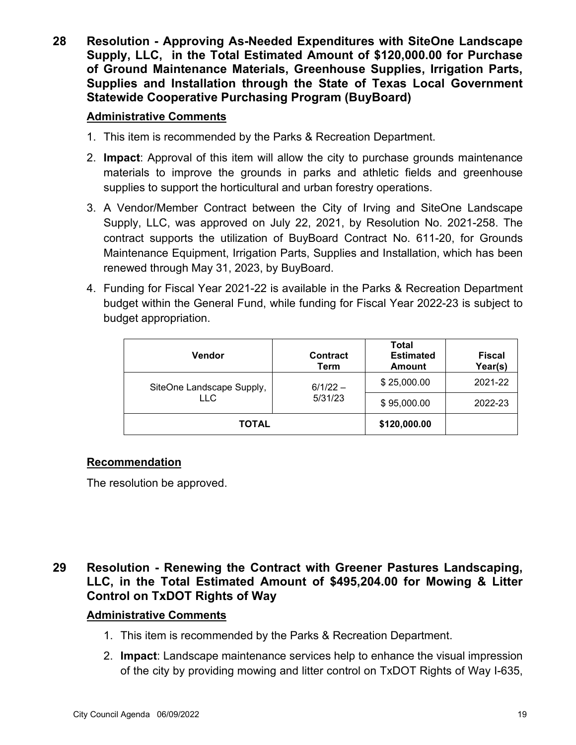**28 Resolution - Approving As-Needed Expenditures with SiteOne Landscape Supply, LLC, in the Total Estimated Amount of \$120,000.00 for Purchase of Ground Maintenance Materials, Greenhouse Supplies, Irrigation Parts, Supplies and Installation through the State of Texas Local Government Statewide Cooperative Purchasing Program (BuyBoard)**

### **Administrative Comments**

- 1. This item is recommended by the Parks & Recreation Department.
- 2. **Impact**: Approval of this item will allow the city to purchase grounds maintenance materials to improve the grounds in parks and athletic fields and greenhouse supplies to support the horticultural and urban forestry operations.
- 3. A Vendor/Member Contract between the City of Irving and SiteOne Landscape Supply, LLC, was approved on July 22, 2021, by Resolution No. 2021-258. The contract supports the utilization of BuyBoard Contract No. 611-20, for Grounds Maintenance Equipment, Irrigation Parts, Supplies and Installation, which has been renewed through May 31, 2023, by BuyBoard.
- 4. Funding for Fiscal Year 2021-22 is available in the Parks & Recreation Department budget within the General Fund, while funding for Fiscal Year 2022-23 is subject to budget appropriation.

| <b>Vendor</b>                     | <b>Contract</b><br>Term | Total<br><b>Estimated</b><br><b>Amount</b> | <b>Fiscal</b><br>Year(s) |
|-----------------------------------|-------------------------|--------------------------------------------|--------------------------|
| SiteOne Landscape Supply,<br>LLC. | $6/1/22 -$              | \$25,000.00                                | 2021-22                  |
|                                   | 5/31/23                 | \$95,000.00                                | 2022-23                  |
| <b>TOTAL</b>                      | \$120,000.00            |                                            |                          |

### **Recommendation**

The resolution be approved.

## **29 Resolution - Renewing the Contract with Greener Pastures Landscaping, LLC, in the Total Estimated Amount of \$495,204.00 for Mowing & Litter Control on TxDOT Rights of Way**

- 1. This item is recommended by the Parks & Recreation Department.
- 2. **Impact**: Landscape maintenance services help to enhance the visual impression of the city by providing mowing and litter control on TxDOT Rights of Way I-635,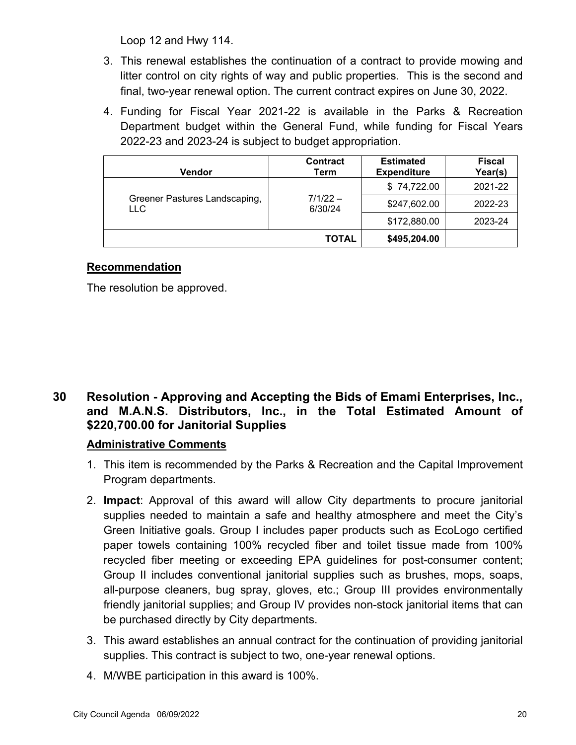Loop 12 and Hwy 114.

- 3. This renewal establishes the continuation of a contract to provide mowing and litter control on city rights of way and public properties. This is the second and final, two-year renewal option. The current contract expires on June 30, 2022.
- 4. Funding for Fiscal Year 2021-22 is available in the Parks & Recreation Department budget within the General Fund, while funding for Fiscal Years 2022-23 and 2023-24 is subject to budget appropriation.

| Vendor                                      | <b>Contract</b><br>Term | <b>Estimated</b><br><b>Expenditure</b> | <b>Fiscal</b><br>Year(s) |
|---------------------------------------------|-------------------------|----------------------------------------|--------------------------|
|                                             |                         | \$74,722.00                            | 2021-22                  |
| Greener Pastures Landscaping,<br><b>LLC</b> | $7/1/22 -$<br>6/30/24   | \$247,602.00                           | 2022-23                  |
|                                             |                         | \$172,880.00                           | 2023-24                  |
|                                             | <b>TOTAL</b>            | \$495,204.00                           |                          |

### **Recommendation**

The resolution be approved.

## **30 Resolution - Approving and Accepting the Bids of Emami Enterprises, Inc., and M.A.N.S. Distributors, Inc., in the Total Estimated Amount of \$220,700.00 for Janitorial Supplies**

- 1. This item is recommended by the Parks & Recreation and the Capital Improvement Program departments.
- 2. **Impact**: Approval of this award will allow City departments to procure janitorial supplies needed to maintain a safe and healthy atmosphere and meet the City's Green Initiative goals. Group I includes paper products such as EcoLogo certified paper towels containing 100% recycled fiber and toilet tissue made from 100% recycled fiber meeting or exceeding EPA guidelines for post-consumer content; Group II includes conventional janitorial supplies such as brushes, mops, soaps, all-purpose cleaners, bug spray, gloves, etc.; Group III provides environmentally friendly janitorial supplies; and Group IV provides non-stock janitorial items that can be purchased directly by City departments.
- 3. This award establishes an annual contract for the continuation of providing janitorial supplies. This contract is subject to two, one-year renewal options.
- 4. M/WBE participation in this award is 100%.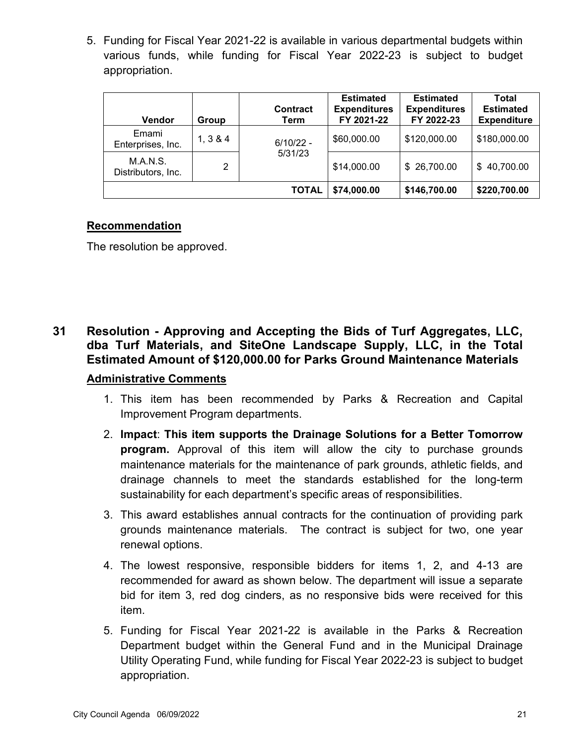5. Funding for Fiscal Year 2021-22 is available in various departmental budgets within various funds, while funding for Fiscal Year 2022-23 is subject to budget appropriation.

| <b>Vendor</b>                  | Group    | Contract<br>Term | <b>Estimated</b><br><b>Expenditures</b><br>FY 2021-22 | <b>Estimated</b><br><b>Expenditures</b><br>FY 2022-23 | Total<br><b>Estimated</b><br><b>Expenditure</b> |
|--------------------------------|----------|------------------|-------------------------------------------------------|-------------------------------------------------------|-------------------------------------------------|
| Emami<br>Enterprises, Inc.     | 1, 3 & 4 | $6/10/22 -$      | \$60,000.00                                           | \$120,000.00                                          | \$180,000.00                                    |
| M.A.N.S.<br>Distributors, Inc. | 2        | 5/31/23          | \$14,000.00                                           | \$ 26,700.00                                          | \$40,700.00                                     |
|                                |          | <b>TOTAL</b>     | \$74,000.00                                           | \$146,700.00                                          | \$220,700.00                                    |

### **Recommendation**

The resolution be approved.

## **31 Resolution - Approving and Accepting the Bids of Turf Aggregates, LLC, dba Turf Materials, and SiteOne Landscape Supply, LLC, in the Total Estimated Amount of \$120,000.00 for Parks Ground Maintenance Materials Administrative Comments**

- 1. This item has been recommended by Parks & Recreation and Capital Improvement Program departments.
- 2. **Impact**: **This item supports the Drainage Solutions for a Better Tomorrow program.** Approval of this item will allow the city to purchase grounds maintenance materials for the maintenance of park grounds, athletic fields, and drainage channels to meet the standards established for the long-term sustainability for each department's specific areas of responsibilities.
- 3. This award establishes annual contracts for the continuation of providing park grounds maintenance materials. The contract is subject for two, one year renewal options.
- 4. The lowest responsive, responsible bidders for items 1, 2, and 4-13 are recommended for award as shown below. The department will issue a separate bid for item 3, red dog cinders, as no responsive bids were received for this item.
- 5. Funding for Fiscal Year 2021-22 is available in the Parks & Recreation Department budget within the General Fund and in the Municipal Drainage Utility Operating Fund, while funding for Fiscal Year 2022-23 is subject to budget appropriation.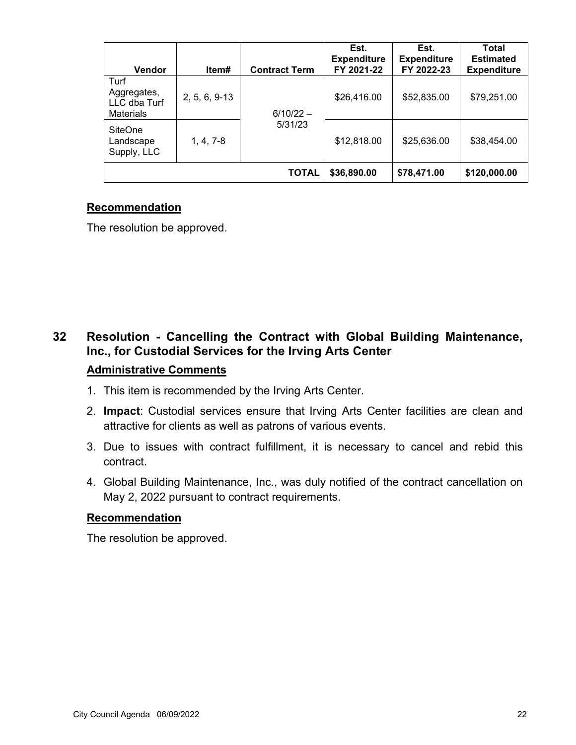| <b>Vendor</b>                                           | Item#         | <b>Contract Term</b> | Est.<br><b>Expenditure</b><br>FY 2021-22 | Est.<br><b>Expenditure</b><br>FY 2022-23 | Total<br><b>Estimated</b><br><b>Expenditure</b> |
|---------------------------------------------------------|---------------|----------------------|------------------------------------------|------------------------------------------|-------------------------------------------------|
| Turf<br>Aggregates,<br>LLC dba Turf<br><b>Materials</b> | 2, 5, 6, 9-13 | $6/10/22 -$          | \$26,416.00                              | \$52,835.00                              | \$79,251.00                                     |
| <b>SiteOne</b><br>Landscape<br>Supply, LLC              | $1, 4, 7-8$   | 5/31/23              | \$12,818.00                              | \$25,636.00                              | \$38,454.00                                     |
|                                                         |               | <b>TOTAL</b>         | \$36,890.00                              | \$78,471.00                              | \$120,000.00                                    |

The resolution be approved.

## **32 Resolution - Cancelling the Contract with Global Building Maintenance, Inc., for Custodial Services for the Irving Arts Center**

### **Administrative Comments**

- 1. This item is recommended by the Irving Arts Center.
- 2. **Impact**: Custodial services ensure that Irving Arts Center facilities are clean and attractive for clients as well as patrons of various events.
- 3. Due to issues with contract fulfillment, it is necessary to cancel and rebid this contract.
- 4. Global Building Maintenance, Inc., was duly notified of the contract cancellation on May 2, 2022 pursuant to contract requirements.

### **Recommendation**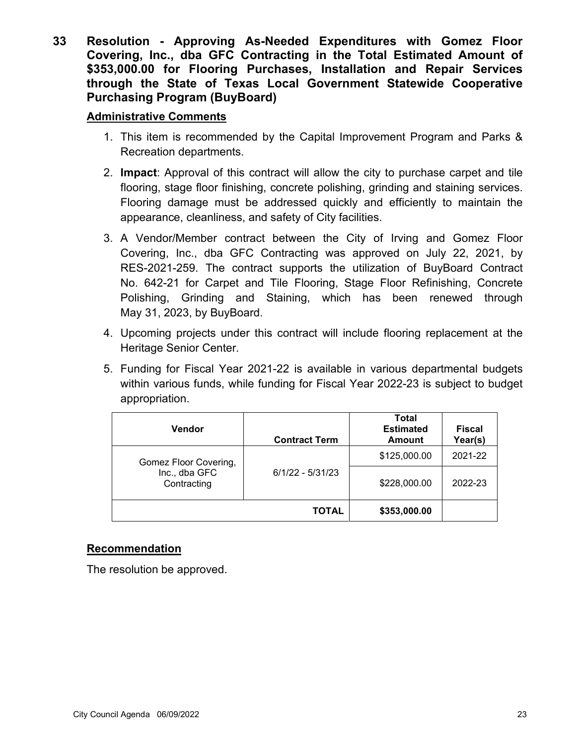**33 Resolution - Approving As-Needed Expenditures with Gomez Floor Covering, Inc., dba GFC Contracting in the Total Estimated Amount of \$353,000.00 for Flooring Purchases, Installation and Repair Services through the State of Texas Local Government Statewide Cooperative Purchasing Program (BuyBoard)**

### **Administrative Comments**

- 1. This item is recommended by the Capital Improvement Program and Parks & Recreation departments.
- 2. **Impact**: Approval of this contract will allow the city to purchase carpet and tile flooring, stage floor finishing, concrete polishing, grinding and staining services. Flooring damage must be addressed quickly and efficiently to maintain the appearance, cleanliness, and safety of City facilities.
- 3. A Vendor/Member contract between the City of Irving and Gomez Floor Covering, Inc., dba GFC Contracting was approved on July 22, 2021, by RES-2021-259. The contract supports the utilization of BuyBoard Contract No. 642-21 for Carpet and Tile Flooring, Stage Floor Refinishing, Concrete Polishing, Grinding and Staining, which has been renewed through May 31, 2023, by BuyBoard.
- 4. Upcoming projects under this contract will include flooring replacement at the Heritage Senior Center.
- 5. Funding for Fiscal Year 2021-22 is available in various departmental budgets within various funds, while funding for Fiscal Year 2022-23 is subject to budget appropriation.

| <b>Vendor</b>                | <b>Contract Term</b> | Total<br><b>Estimated</b><br><b>Amount</b> | <b>Fiscal</b><br>Year(s) |
|------------------------------|----------------------|--------------------------------------------|--------------------------|
| Gomez Floor Covering,        |                      | \$125,000.00                               | 2021-22                  |
| Inc., dba GFC<br>Contracting | $6/1/22 - 5/31/23$   | \$228,000.00                               | 2022-23                  |
|                              | <b>TOTAL</b>         | \$353,000.00                               |                          |

### **Recommendation**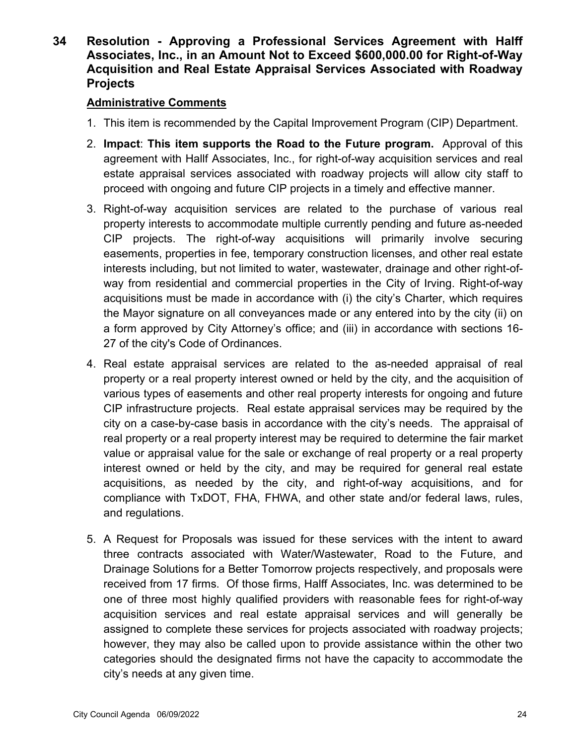**34 Resolution - Approving a Professional Services Agreement with Halff Associates, Inc., in an Amount Not to Exceed \$600,000.00 for Right-of-Way Acquisition and Real Estate Appraisal Services Associated with Roadway Projects**

- 1. This item is recommended by the Capital Improvement Program (CIP) Department.
- 2. **Impact**: **This item supports the Road to the Future program.** Approval of this agreement with Hallf Associates, Inc., for right-of-way acquisition services and real estate appraisal services associated with roadway projects will allow city staff to proceed with ongoing and future CIP projects in a timely and effective manner.
- 3. Right-of-way acquisition services are related to the purchase of various real property interests to accommodate multiple currently pending and future as-needed CIP projects. The right-of-way acquisitions will primarily involve securing easements, properties in fee, temporary construction licenses, and other real estate interests including, but not limited to water, wastewater, drainage and other right-ofway from residential and commercial properties in the City of Irving. Right-of-way acquisitions must be made in accordance with (i) the city's Charter, which requires the Mayor signature on all conveyances made or any entered into by the city (ii) on a form approved by City Attorney's office; and (iii) in accordance with sections 16- 27 of the city's Code of Ordinances.
- 4. Real estate appraisal services are related to the as-needed appraisal of real property or a real property interest owned or held by the city, and the acquisition of various types of easements and other real property interests for ongoing and future CIP infrastructure projects. Real estate appraisal services may be required by the city on a case-by-case basis in accordance with the city's needs. The appraisal of real property or a real property interest may be required to determine the fair market value or appraisal value for the sale or exchange of real property or a real property interest owned or held by the city, and may be required for general real estate acquisitions, as needed by the city, and right-of-way acquisitions, and for compliance with TxDOT, FHA, FHWA, and other state and/or federal laws, rules, and regulations.
- 5. A Request for Proposals was issued for these services with the intent to award three contracts associated with Water/Wastewater, Road to the Future, and Drainage Solutions for a Better Tomorrow projects respectively, and proposals were received from 17 firms. Of those firms, Halff Associates, Inc. was determined to be one of three most highly qualified providers with reasonable fees for right-of-way acquisition services and real estate appraisal services and will generally be assigned to complete these services for projects associated with roadway projects; however, they may also be called upon to provide assistance within the other two categories should the designated firms not have the capacity to accommodate the city's needs at any given time.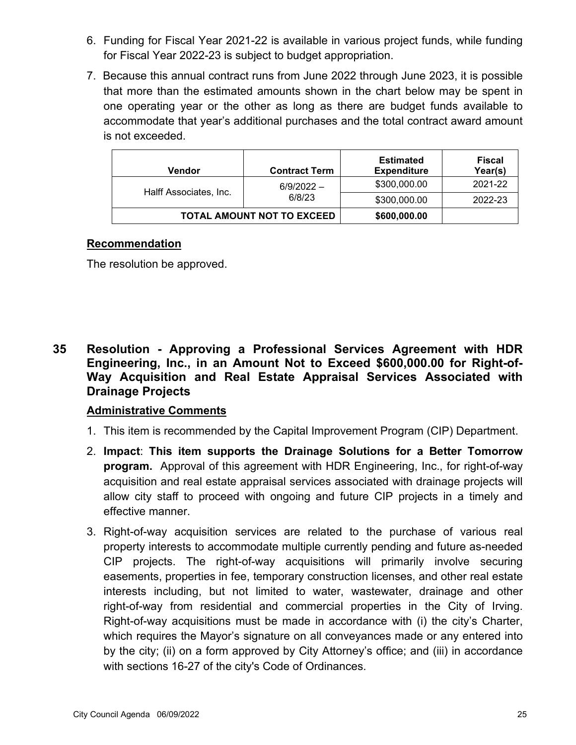- 6. Funding for Fiscal Year 2021-22 is available in various project funds, while funding for Fiscal Year 2022-23 is subject to budget appropriation.
- 7. Because this annual contract runs from June 2022 through June 2023, it is possible that more than the estimated amounts shown in the chart below may be spent in one operating year or the other as long as there are budget funds available to accommodate that year's additional purchases and the total contract award amount is not exceeded.

| Vendor                 | <b>Contract Term</b>       | <b>Estimated</b><br><b>Expenditure</b> | Fiscal<br>Year(s) |
|------------------------|----------------------------|----------------------------------------|-------------------|
| Halff Associates, Inc. | $6/9/2022 -$               | \$300,000.00                           | 2021-22           |
|                        | 6/8/23                     | \$300,000.00                           | 2022-23           |
|                        | TOTAL AMOUNT NOT TO EXCEED | \$600,000.00                           |                   |

The resolution be approved.

**35 Resolution - Approving a Professional Services Agreement with HDR Engineering, Inc., in an Amount Not to Exceed \$600,000.00 for Right-of-Way Acquisition and Real Estate Appraisal Services Associated with Drainage Projects**

- 1. This item is recommended by the Capital Improvement Program (CIP) Department.
- 2. **Impact**: **This item supports the Drainage Solutions for a Better Tomorrow program.** Approval of this agreement with HDR Engineering, Inc., for right-of-way acquisition and real estate appraisal services associated with drainage projects will allow city staff to proceed with ongoing and future CIP projects in a timely and effective manner.
- 3. Right-of-way acquisition services are related to the purchase of various real property interests to accommodate multiple currently pending and future as-needed CIP projects. The right-of-way acquisitions will primarily involve securing easements, properties in fee, temporary construction licenses, and other real estate interests including, but not limited to water, wastewater, drainage and other right-of-way from residential and commercial properties in the City of Irving. Right-of-way acquisitions must be made in accordance with (i) the city's Charter, which requires the Mayor's signature on all conveyances made or any entered into by the city; (ii) on a form approved by City Attorney's office; and (iii) in accordance with sections 16-27 of the city's Code of Ordinances.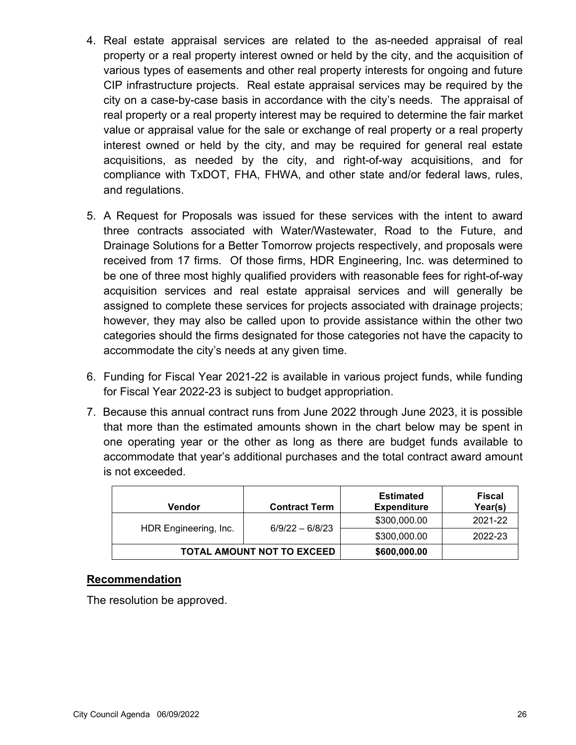- 4. Real estate appraisal services are related to the as-needed appraisal of real property or a real property interest owned or held by the city, and the acquisition of various types of easements and other real property interests for ongoing and future CIP infrastructure projects. Real estate appraisal services may be required by the city on a case-by-case basis in accordance with the city's needs. The appraisal of real property or a real property interest may be required to determine the fair market value or appraisal value for the sale or exchange of real property or a real property interest owned or held by the city, and may be required for general real estate acquisitions, as needed by the city, and right-of-way acquisitions, and for compliance with TxDOT, FHA, FHWA, and other state and/or federal laws, rules, and regulations.
- 5. A Request for Proposals was issued for these services with the intent to award three contracts associated with Water/Wastewater, Road to the Future, and Drainage Solutions for a Better Tomorrow projects respectively, and proposals were received from 17 firms. Of those firms, HDR Engineering, Inc. was determined to be one of three most highly qualified providers with reasonable fees for right-of-way acquisition services and real estate appraisal services and will generally be assigned to complete these services for projects associated with drainage projects; however, they may also be called upon to provide assistance within the other two categories should the firms designated for those categories not have the capacity to accommodate the city's needs at any given time.
- 6. Funding for Fiscal Year 2021-22 is available in various project funds, while funding for Fiscal Year 2022-23 is subject to budget appropriation.
- 7. Because this annual contract runs from June 2022 through June 2023, it is possible that more than the estimated amounts shown in the chart below may be spent in one operating year or the other as long as there are budget funds available to accommodate that year's additional purchases and the total contract award amount is not exceeded.

| Vendor                            | <b>Contract Term</b> | <b>Estimated</b><br><b>Expenditure</b> | Fiscal<br>Year(s) |
|-----------------------------------|----------------------|----------------------------------------|-------------------|
| HDR Engineering, Inc.             | $6/9/22 - 6/8/23$    | \$300,000.00                           | 2021-22           |
|                                   |                      | \$300,000.00                           | 2022-23           |
| <b>TOTAL AMOUNT NOT TO EXCEED</b> |                      | \$600,000.00                           |                   |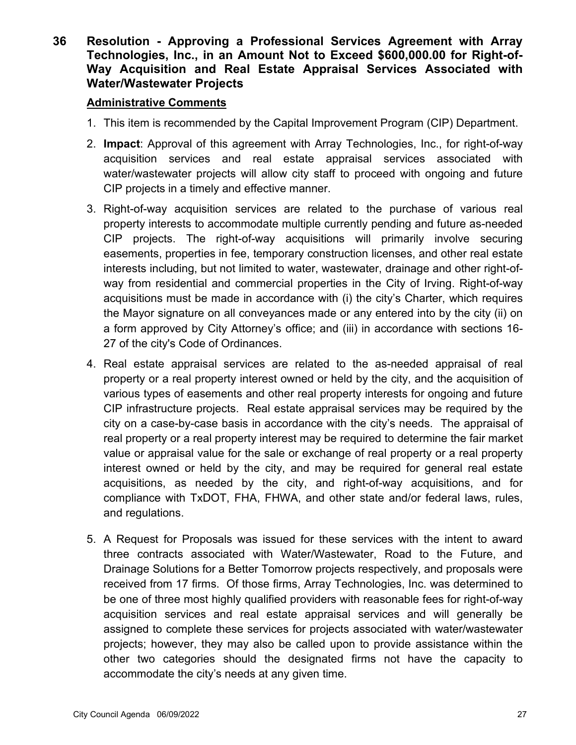**36 Resolution - Approving a Professional Services Agreement with Array Technologies, Inc., in an Amount Not to Exceed \$600,000.00 for Right-of-Way Acquisition and Real Estate Appraisal Services Associated with Water/Wastewater Projects**

- 1. This item is recommended by the Capital Improvement Program (CIP) Department.
- 2. **Impact**: Approval of this agreement with Array Technologies, Inc., for right-of-way acquisition services and real estate appraisal services associated with water/wastewater projects will allow city staff to proceed with ongoing and future CIP projects in a timely and effective manner.
- 3. Right-of-way acquisition services are related to the purchase of various real property interests to accommodate multiple currently pending and future as-needed CIP projects. The right-of-way acquisitions will primarily involve securing easements, properties in fee, temporary construction licenses, and other real estate interests including, but not limited to water, wastewater, drainage and other right-ofway from residential and commercial properties in the City of Irving. Right-of-way acquisitions must be made in accordance with (i) the city's Charter, which requires the Mayor signature on all conveyances made or any entered into by the city (ii) on a form approved by City Attorney's office; and (iii) in accordance with sections 16- 27 of the city's Code of Ordinances.
- 4. Real estate appraisal services are related to the as-needed appraisal of real property or a real property interest owned or held by the city, and the acquisition of various types of easements and other real property interests for ongoing and future CIP infrastructure projects. Real estate appraisal services may be required by the city on a case-by-case basis in accordance with the city's needs. The appraisal of real property or a real property interest may be required to determine the fair market value or appraisal value for the sale or exchange of real property or a real property interest owned or held by the city, and may be required for general real estate acquisitions, as needed by the city, and right-of-way acquisitions, and for compliance with TxDOT, FHA, FHWA, and other state and/or federal laws, rules, and regulations.
- 5. A Request for Proposals was issued for these services with the intent to award three contracts associated with Water/Wastewater, Road to the Future, and Drainage Solutions for a Better Tomorrow projects respectively, and proposals were received from 17 firms. Of those firms, Array Technologies, Inc. was determined to be one of three most highly qualified providers with reasonable fees for right-of-way acquisition services and real estate appraisal services and will generally be assigned to complete these services for projects associated with water/wastewater projects; however, they may also be called upon to provide assistance within the other two categories should the designated firms not have the capacity to accommodate the city's needs at any given time.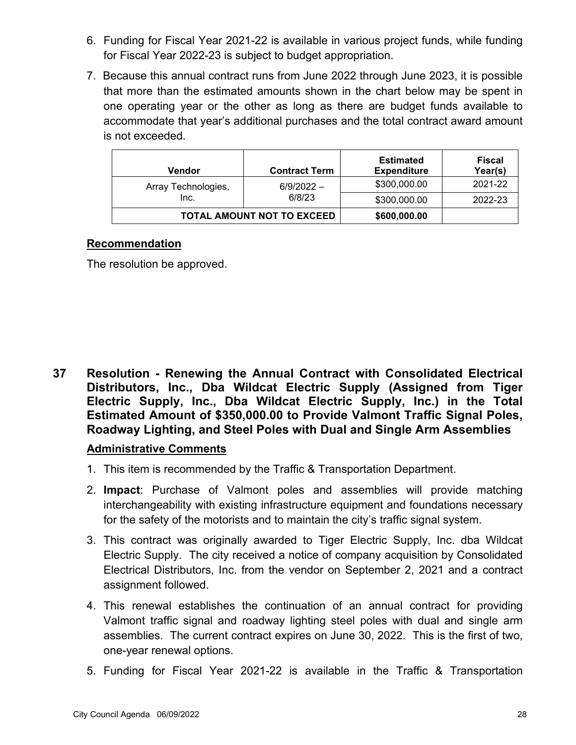- 6. Funding for Fiscal Year 2021-22 is available in various project funds, while funding for Fiscal Year 2022-23 is subject to budget appropriation.
- 7. Because this annual contract runs from June 2022 through June 2023, it is possible that more than the estimated amounts shown in the chart below may be spent in one operating year or the other as long as there are budget funds available to accommodate that year's additional purchases and the total contract award amount is not exceeded.

| Vendor                            | <b>Contract Term</b>   | <b>Estimated</b><br><b>Expenditure</b> | Fiscal<br>Year(s) |
|-----------------------------------|------------------------|----------------------------------------|-------------------|
| Array Technologies,               | $6/9/2022 -$<br>6/8/23 | \$300,000.00                           | 2021-22           |
| Inc.                              |                        | \$300,000.00                           | 2022-23           |
| <b>TOTAL AMOUNT NOT TO EXCEED</b> |                        | \$600,000.00                           |                   |

The resolution be approved.

**37 Resolution - Renewing the Annual Contract with Consolidated Electrical Distributors, Inc., Dba Wildcat Electric Supply (Assigned from Tiger Electric Supply, Inc., Dba Wildcat Electric Supply, Inc.) in the Total Estimated Amount of \$350,000.00 to Provide Valmont Traffic Signal Poles, Roadway Lighting, and Steel Poles with Dual and Single Arm Assemblies**

- 1. This item is recommended by the Traffic & Transportation Department.
- 2. **Impact**: Purchase of Valmont poles and assemblies will provide matching interchangeability with existing infrastructure equipment and foundations necessary for the safety of the motorists and to maintain the city's traffic signal system.
- 3. This contract was originally awarded to Tiger Electric Supply, Inc. dba Wildcat Electric Supply. The city received a notice of company acquisition by Consolidated Electrical Distributors, Inc. from the vendor on September 2, 2021 and a contract assignment followed.
- 4. This renewal establishes the continuation of an annual contract for providing Valmont traffic signal and roadway lighting steel poles with dual and single arm assemblies. The current contract expires on June 30, 2022. This is the first of two, one-year renewal options.
- 5. Funding for Fiscal Year 2021-22 is available in the Traffic & Transportation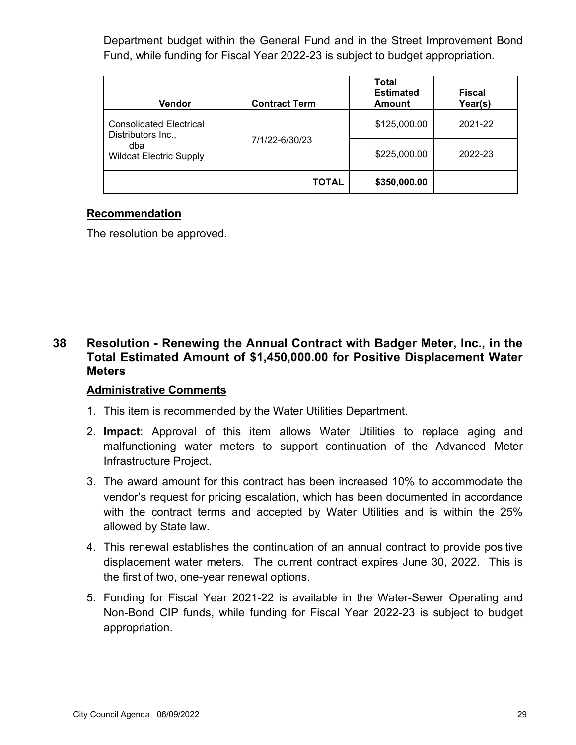Department budget within the General Fund and in the Street Improvement Bond Fund, while funding for Fiscal Year 2022-23 is subject to budget appropriation.

| Vendor                                               | <b>Contract Term</b> | Total<br><b>Estimated</b><br><b>Amount</b> | <b>Fiscal</b><br>Year(s) |
|------------------------------------------------------|----------------------|--------------------------------------------|--------------------------|
| <b>Consolidated Electrical</b><br>Distributors Inc., |                      | \$125,000.00                               | 2021-22                  |
| dba<br><b>Wildcat Electric Supply</b>                | 7/1/22-6/30/23       | \$225,000.00                               | 2022-23                  |
|                                                      | <b>TOTAL</b>         | \$350,000.00                               |                          |

### **Recommendation**

The resolution be approved.

## **38 Resolution - Renewing the Annual Contract with Badger Meter, Inc., in the Total Estimated Amount of \$1,450,000.00 for Positive Displacement Water Meters**

- 1. This item is recommended by the Water Utilities Department.
- 2. **Impact**: Approval of this item allows Water Utilities to replace aging and malfunctioning water meters to support continuation of the Advanced Meter Infrastructure Project.
- 3. The award amount for this contract has been increased 10% to accommodate the vendor's request for pricing escalation, which has been documented in accordance with the contract terms and accepted by Water Utilities and is within the 25% allowed by State law.
- 4. This renewal establishes the continuation of an annual contract to provide positive displacement water meters. The current contract expires June 30, 2022. This is the first of two, one-year renewal options.
- 5. Funding for Fiscal Year 2021-22 is available in the Water-Sewer Operating and Non-Bond CIP funds, while funding for Fiscal Year 2022-23 is subject to budget appropriation.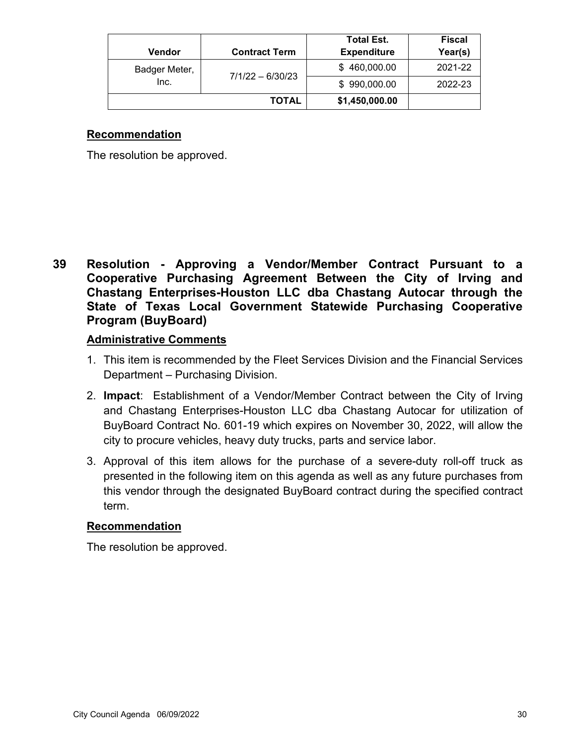|               |                      | <b>Total Est.</b>  | <b>Fiscal</b> |
|---------------|----------------------|--------------------|---------------|
| <b>Vendor</b> | <b>Contract Term</b> | <b>Expenditure</b> | Year(s)       |
| Badger Meter, | $7/1/22 - 6/30/23$   | \$460,000.00       | 2021-22       |
| Inc.          |                      | \$990,000.00       | 2022-23       |
|               | <b>TOTAL</b>         | \$1,450,000.00     |               |

The resolution be approved.

**39 Resolution - Approving a Vendor/Member Contract Pursuant to a Cooperative Purchasing Agreement Between the City of Irving and Chastang Enterprises-Houston LLC dba Chastang Autocar through the State of Texas Local Government Statewide Purchasing Cooperative Program (BuyBoard)**

### **Administrative Comments**

- 1. This item is recommended by the Fleet Services Division and the Financial Services Department – Purchasing Division.
- 2. **Impact**: Establishment of a Vendor/Member Contract between the City of Irving and Chastang Enterprises-Houston LLC dba Chastang Autocar for utilization of BuyBoard Contract No. 601-19 which expires on November 30, 2022, will allow the city to procure vehicles, heavy duty trucks, parts and service labor.
- 3. Approval of this item allows for the purchase of a severe-duty roll-off truck as presented in the following item on this agenda as well as any future purchases from this vendor through the designated BuyBoard contract during the specified contract term.

### **Recommendation**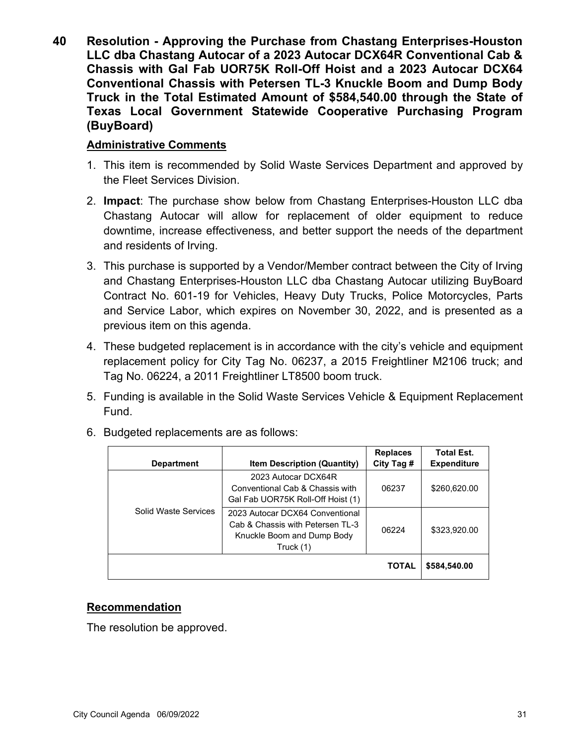**40 Resolution - Approving the Purchase from Chastang Enterprises-Houston LLC dba Chastang Autocar of a 2023 Autocar DCX64R Conventional Cab & Chassis with Gal Fab UOR75K Roll-Off Hoist and a 2023 Autocar DCX64 Conventional Chassis with Petersen TL-3 Knuckle Boom and Dump Body Truck in the Total Estimated Amount of \$584,540.00 through the State of Texas Local Government Statewide Cooperative Purchasing Program (BuyBoard)**

### **Administrative Comments**

- 1. This item is recommended by Solid Waste Services Department and approved by the Fleet Services Division.
- 2. **Impact**: The purchase show below from Chastang Enterprises-Houston LLC dba Chastang Autocar will allow for replacement of older equipment to reduce downtime, increase effectiveness, and better support the needs of the department and residents of Irving.
- 3. This purchase is supported by a Vendor/Member contract between the City of Irving and Chastang Enterprises-Houston LLC dba Chastang Autocar utilizing BuyBoard Contract No. 601-19 for Vehicles, Heavy Duty Trucks, Police Motorcycles, Parts and Service Labor, which expires on November 30, 2022, and is presented as a previous item on this agenda.
- 4. These budgeted replacement is in accordance with the city's vehicle and equipment replacement policy for City Tag No. 06237, a 2015 Freightliner M2106 truck; and Tag No. 06224, a 2011 Freightliner LT8500 boom truck.
- 5. Funding is available in the Solid Waste Services Vehicle & Equipment Replacement Fund.

| <b>Department</b>    | <b>Item Description (Quantity)</b>                                                                              | <b>Replaces</b><br>City Tag # | <b>Total Est.</b><br><b>Expenditure</b> |
|----------------------|-----------------------------------------------------------------------------------------------------------------|-------------------------------|-----------------------------------------|
|                      | 2023 Autocar DCX64R<br>Conventional Cab & Chassis with<br>Gal Fab UOR75K Roll-Off Hoist (1)                     | 06237                         | \$260,620.00                            |
| Solid Waste Services | 2023 Autocar DCX64 Conventional<br>Cab & Chassis with Petersen TI -3<br>Knuckle Boom and Dump Body<br>Truck (1) | 06224                         | \$323,920.00                            |
|                      |                                                                                                                 | <b>TOTAL</b>                  | \$584,540.00                            |

6. Budgeted replacements are as follows:

### **Recommendation**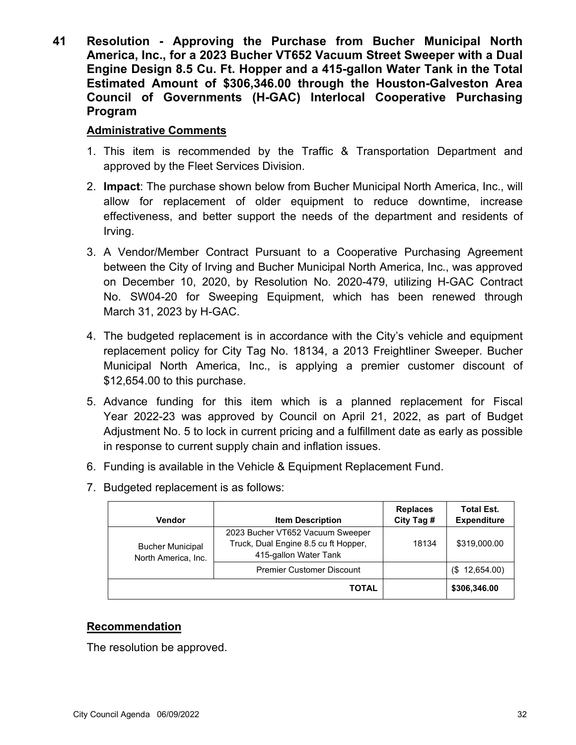**41 Resolution - Approving the Purchase from Bucher Municipal North America, Inc., for a 2023 Bucher VT652 Vacuum Street Sweeper with a Dual Engine Design 8.5 Cu. Ft. Hopper and a 415-gallon Water Tank in the Total Estimated Amount of \$306,346.00 through the Houston-Galveston Area Council of Governments (H-GAC) Interlocal Cooperative Purchasing Program**

### **Administrative Comments**

- 1. This item is recommended by the Traffic & Transportation Department and approved by the Fleet Services Division.
- 2. **Impact**: The purchase shown below from Bucher Municipal North America, Inc., will allow for replacement of older equipment to reduce downtime, increase effectiveness, and better support the needs of the department and residents of Irving.
- 3. A Vendor/Member Contract Pursuant to a Cooperative Purchasing Agreement between the City of Irving and Bucher Municipal North America, Inc., was approved on December 10, 2020, by Resolution No. 2020-479, utilizing H-GAC Contract No. SW04-20 for Sweeping Equipment, which has been renewed through March 31, 2023 by H-GAC.
- 4. The budgeted replacement is in accordance with the City's vehicle and equipment replacement policy for City Tag No. 18134, a 2013 Freightliner Sweeper. Bucher Municipal North America, Inc., is applying a premier customer discount of \$12,654.00 to this purchase.
- 5. Advance funding for this item which is a planned replacement for Fiscal Year 2022-23 was approved by Council on April 21, 2022, as part of Budget Adjustment No. 5 to lock in current pricing and a fulfillment date as early as possible in response to current supply chain and inflation issues.
- 6. Funding is available in the Vehicle & Equipment Replacement Fund.
- 7. Budgeted replacement is as follows:

| Vendor                                         | <b>Item Description</b>                                                                           | <b>Replaces</b><br>City Tag # | <b>Total Est.</b><br><b>Expenditure</b> |
|------------------------------------------------|---------------------------------------------------------------------------------------------------|-------------------------------|-----------------------------------------|
| <b>Bucher Municipal</b><br>North America, Inc. | 2023 Bucher VT652 Vacuum Sweeper<br>Truck, Dual Engine 8.5 cu ft Hopper,<br>415-gallon Water Tank | 18134                         | \$319,000.00                            |
|                                                | <b>Premier Customer Discount</b>                                                                  |                               | $(S$ 12,654.00)                         |
|                                                | TOTAL                                                                                             |                               | \$306,346.00                            |

### **Recommendation**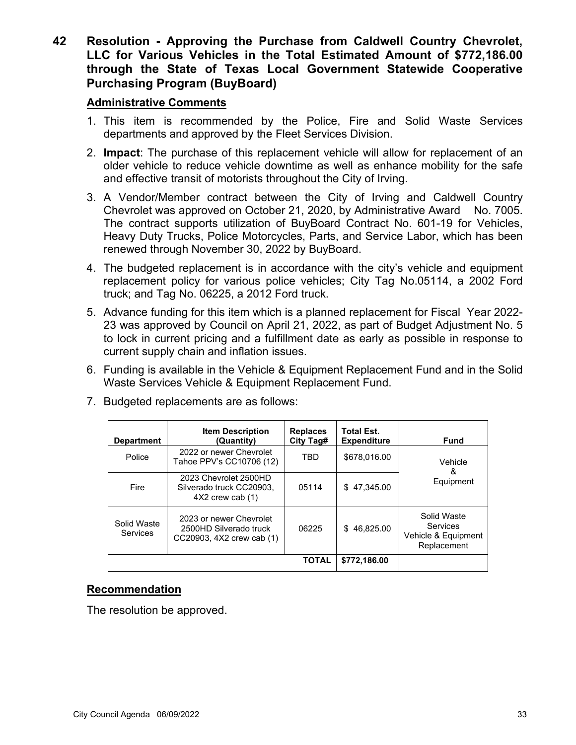**42 Resolution - Approving the Purchase from Caldwell Country Chevrolet, LLC for Various Vehicles in the Total Estimated Amount of \$772,186.00 through the State of Texas Local Government Statewide Cooperative Purchasing Program (BuyBoard)**

### **Administrative Comments**

- 1. This item is recommended by the Police, Fire and Solid Waste Services departments and approved by the Fleet Services Division.
- 2. **Impact**: The purchase of this replacement vehicle will allow for replacement of an older vehicle to reduce vehicle downtime as well as enhance mobility for the safe and effective transit of motorists throughout the City of Irving.
- 3. A Vendor/Member contract between the City of Irving and Caldwell Country Chevrolet was approved on October 21, 2020, by Administrative Award No. 7005. The contract supports utilization of BuyBoard Contract No. 601-19 for Vehicles, Heavy Duty Trucks, Police Motorcycles, Parts, and Service Labor, which has been renewed through November 30, 2022 by BuyBoard.
- 4. The budgeted replacement is in accordance with the city's vehicle and equipment replacement policy for various police vehicles; City Tag No.05114, a 2002 Ford truck; and Tag No. 06225, a 2012 Ford truck.
- 5. Advance funding for this item which is a planned replacement for Fiscal Year 2022- 23 was approved by Council on April 21, 2022, as part of Budget Adjustment No. 5 to lock in current pricing and a fulfillment date as early as possible in response to current supply chain and inflation issues.
- 6. Funding is available in the Vehicle & Equipment Replacement Fund and in the Solid Waste Services Vehicle & Equipment Replacement Fund.

| <b>Department</b>       | <b>Item Description</b><br>(Quantity)                                          | <b>Replaces</b><br>City Tag# | <b>Total Est.</b><br><b>Expenditure</b> | Fund                                                                 |
|-------------------------|--------------------------------------------------------------------------------|------------------------------|-----------------------------------------|----------------------------------------------------------------------|
| Police                  | 2022 or newer Chevrolet<br>Tahoe PPV's CC10706 (12)                            | TBD                          | \$678,016.00                            | Vehicle                                                              |
| Fire                    | 2023 Chevrolet 2500HD<br>Silverado truck CC20903,<br>$4X2$ crew cab $(1)$      | 05114                        | 47.345.00<br>\$.                        | &<br>Equipment                                                       |
| Solid Waste<br>Services | 2023 or newer Chevrolet<br>2500HD Silverado truck<br>CC20903, 4X2 crew cab (1) | 06225                        | \$46,825.00                             | Solid Waste<br><b>Services</b><br>Vehicle & Equipment<br>Replacement |
|                         |                                                                                | <b>TOTAL</b>                 | \$772,186.00                            |                                                                      |

7. Budgeted replacements are as follows:

### **Recommendation**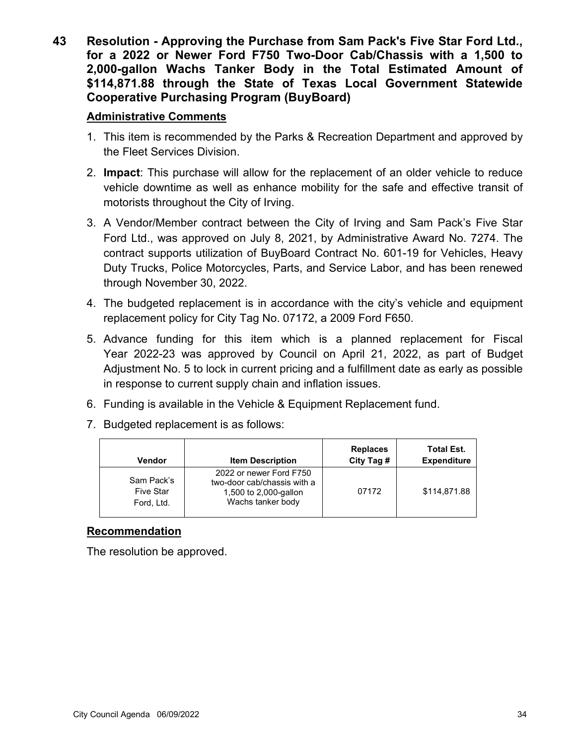**43 Resolution - Approving the Purchase from Sam Pack's Five Star Ford Ltd., for a 2022 or Newer Ford F750 Two-Door Cab/Chassis with a 1,500 to 2,000-gallon Wachs Tanker Body in the Total Estimated Amount of \$114,871.88 through the State of Texas Local Government Statewide Cooperative Purchasing Program (BuyBoard)**

### **Administrative Comments**

- 1. This item is recommended by the Parks & Recreation Department and approved by the Fleet Services Division.
- 2. **Impact**: This purchase will allow for the replacement of an older vehicle to reduce vehicle downtime as well as enhance mobility for the safe and effective transit of motorists throughout the City of Irving.
- 3. A Vendor/Member contract between the City of Irving and Sam Pack's Five Star Ford Ltd., was approved on July 8, 2021, by Administrative Award No. 7274. The contract supports utilization of BuyBoard Contract No. 601-19 for Vehicles, Heavy Duty Trucks, Police Motorcycles, Parts, and Service Labor, and has been renewed through November 30, 2022.
- 4. The budgeted replacement is in accordance with the city's vehicle and equipment replacement policy for City Tag No. 07172, a 2009 Ford F650.
- 5. Advance funding for this item which is a planned replacement for Fiscal Year 2022-23 was approved by Council on April 21, 2022, as part of Budget Adjustment No. 5 to lock in current pricing and a fulfillment date as early as possible in response to current supply chain and inflation issues.
- 6. Funding is available in the Vehicle & Equipment Replacement fund.
- 7. Budgeted replacement is as follows:

| Vendor                                | <b>Item Description</b>                                                                              | <b>Replaces</b><br>City Tag # | <b>Total Est.</b><br><b>Expenditure</b> |
|---------------------------------------|------------------------------------------------------------------------------------------------------|-------------------------------|-----------------------------------------|
| Sam Pack's<br>Five Star<br>Ford, Ltd. | 2022 or newer Ford F750<br>two-door cab/chassis with a<br>1,500 to 2,000-gallon<br>Wachs tanker body | 07172                         | \$114,871.88                            |

### **Recommendation**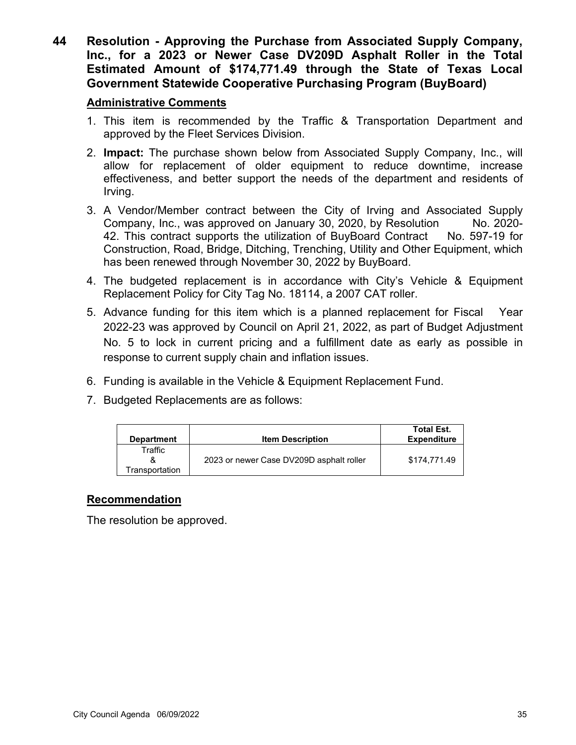**44 Resolution - Approving the Purchase from Associated Supply Company, Inc., for a 2023 or Newer Case DV209D Asphalt Roller in the Total Estimated Amount of \$174,771.49 through the State of Texas Local Government Statewide Cooperative Purchasing Program (BuyBoard)**

### **Administrative Comments**

- 1. This item is recommended by the Traffic & Transportation Department and approved by the Fleet Services Division.
- 2. **Impact:** The purchase shown below from Associated Supply Company, Inc., will allow for replacement of older equipment to reduce downtime, increase effectiveness, and better support the needs of the department and residents of Irving.
- 3. A Vendor/Member contract between the City of Irving and Associated Supply Company, Inc., was approved on January 30, 2020, by Resolution No. 2020-42. This contract supports the utilization of BuyBoard Contract No. 597-19 for Construction, Road, Bridge, Ditching, Trenching, Utility and Other Equipment, which has been renewed through November 30, 2022 by BuyBoard.
- 4. The budgeted replacement is in accordance with City's Vehicle & Equipment Replacement Policy for City Tag No. 18114, a 2007 CAT roller.
- 5. Advance funding for this item which is a planned replacement for Fiscal Year 2022-23 was approved by Council on April 21, 2022, as part of Budget Adjustment No. 5 to lock in current pricing and a fulfillment date as early as possible in response to current supply chain and inflation issues.
- 6. Funding is available in the Vehicle & Equipment Replacement Fund.
- 7. Budgeted Replacements are as follows:

| <b>Department</b> | <b>Item Description</b>                  | <b>Total Est.</b><br><b>Expenditure</b> |
|-------------------|------------------------------------------|-----------------------------------------|
| Traffic           |                                          |                                         |
|                   | 2023 or newer Case DV209D asphalt roller | \$174.771.49                            |
| Transportation    |                                          |                                         |

### **Recommendation**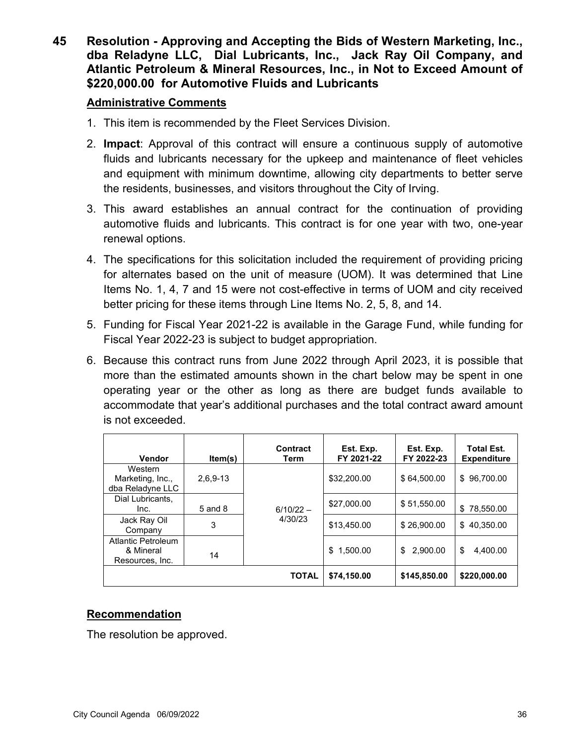**45 Resolution - Approving and Accepting the Bids of Western Marketing, Inc., dba Reladyne LLC, Dial Lubricants, Inc., Jack Ray Oil Company, and Atlantic Petroleum & Mineral Resources, Inc., in Not to Exceed Amount of \$220,000.00 for Automotive Fluids and Lubricants**

### **Administrative Comments**

- 1. This item is recommended by the Fleet Services Division.
- 2. **Impact**: Approval of this contract will ensure a continuous supply of automotive fluids and lubricants necessary for the upkeep and maintenance of fleet vehicles and equipment with minimum downtime, allowing city departments to better serve the residents, businesses, and visitors throughout the City of Irving.
- 3. This award establishes an annual contract for the continuation of providing automotive fluids and lubricants. This contract is for one year with two, one-year renewal options.
- 4. The specifications for this solicitation included the requirement of providing pricing for alternates based on the unit of measure (UOM). It was determined that Line Items No. 1, 4, 7 and 15 were not cost-effective in terms of UOM and city received better pricing for these items through Line Items No. 2, 5, 8, and 14.
- 5. Funding for Fiscal Year 2021-22 is available in the Garage Fund, while funding for Fiscal Year 2022-23 is subject to budget appropriation.
- 6. Because this contract runs from June 2022 through April 2023, it is possible that more than the estimated amounts shown in the chart below may be spent in one operating year or the other as long as there are budget funds available to accommodate that year's additional purchases and the total contract award amount is not exceeded.

| Vendor                                                    | ltem(s)     | Contract<br>Term | Est. Exp.<br>FY 2021-22 | Est. Exp.<br>FY 2022-23 | <b>Total Est.</b><br><b>Expenditure</b> |
|-----------------------------------------------------------|-------------|------------------|-------------------------|-------------------------|-----------------------------------------|
| Western<br>Marketing, Inc.,<br>dba Reladyne LLC           | $2,6,9-13$  |                  | \$32,200.00             | \$64,500.00             | 96,700.00<br>\$                         |
| Dial Lubricants,<br>Inc.                                  | $5$ and $8$ | $6/10/22 -$      | \$27,000.00             | \$51,550.00             | \$<br>78,550.00                         |
| Jack Ray Oil<br>Company                                   | 3           | 4/30/23          | \$13,450.00             | \$26,900.00             | \$40.350.00                             |
| <b>Atlantic Petroleum</b><br>& Mineral<br>Resources, Inc. | 14          |                  | 1.500.00<br>\$          | 2.900.00<br>\$          | \$<br>4.400.00                          |
|                                                           |             | <b>TOTAL</b>     | \$74,150.00             | \$145,850.00            | \$220,000.00                            |

### **Recommendation**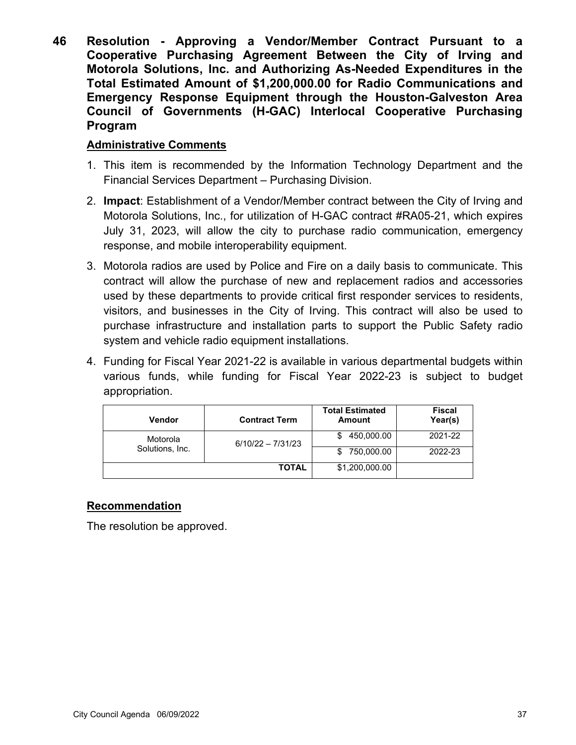**46 Resolution - Approving a Vendor/Member Contract Pursuant to a Cooperative Purchasing Agreement Between the City of Irving and Motorola Solutions, Inc. and Authorizing As-Needed Expenditures in the Total Estimated Amount of \$1,200,000.00 for Radio Communications and Emergency Response Equipment through the Houston-Galveston Area Council of Governments (H-GAC) Interlocal Cooperative Purchasing Program**

### **Administrative Comments**

- 1. This item is recommended by the Information Technology Department and the Financial Services Department – Purchasing Division.
- 2. **Impact**: Establishment of a Vendor/Member contract between the City of Irving and Motorola Solutions, Inc., for utilization of H-GAC contract #RA05-21, which expires July 31, 2023, will allow the city to purchase radio communication, emergency response, and mobile interoperability equipment.
- 3. Motorola radios are used by Police and Fire on a daily basis to communicate. This contract will allow the purchase of new and replacement radios and accessories used by these departments to provide critical first responder services to residents, visitors, and businesses in the City of Irving. This contract will also be used to purchase infrastructure and installation parts to support the Public Safety radio system and vehicle radio equipment installations.
- 4. Funding for Fiscal Year 2021-22 is available in various departmental budgets within various funds, while funding for Fiscal Year 2022-23 is subject to budget appropriation.

| <b>Vendor</b>   | <b>Contract Term</b> | <b>Total Estimated</b><br><b>Amount</b> | <b>Fiscal</b><br>Year(s) |
|-----------------|----------------------|-----------------------------------------|--------------------------|
| Motorola        | $6/10/22 - 7/31/23$  | 450,000.00                              | 2021-22                  |
| Solutions, Inc. |                      | 750,000.00                              | 2022-23                  |
|                 | TOTAL                | \$1,200,000.00                          |                          |

### **Recommendation**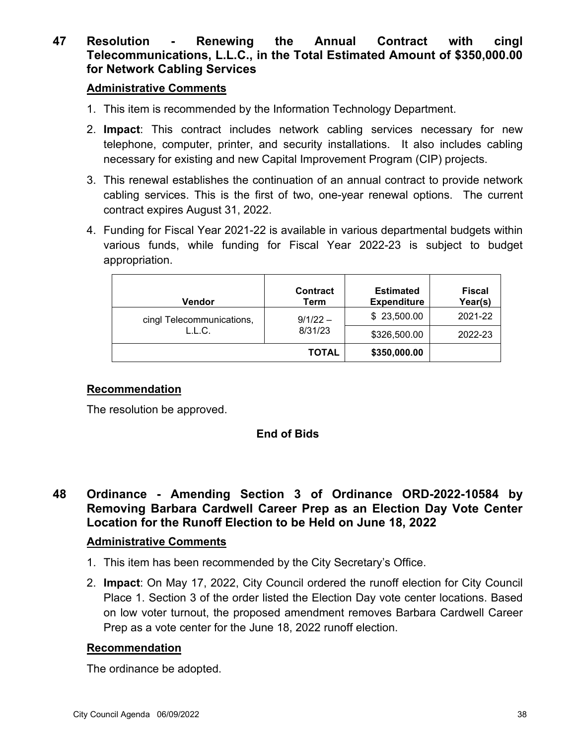## **47 Resolution - Renewing the Annual Contract with cingl Telecommunications, L.L.C., in the Total Estimated Amount of \$350,000.00 for Network Cabling Services**

### **Administrative Comments**

- 1. This item is recommended by the Information Technology Department.
- 2. **Impact**: This contract includes network cabling services necessary for new telephone, computer, printer, and security installations. It also includes cabling necessary for existing and new Capital Improvement Program (CIP) projects.
- 3. This renewal establishes the continuation of an annual contract to provide network cabling services. This is the first of two, one-year renewal options. The current contract expires August 31, 2022.
- 4. Funding for Fiscal Year 2021-22 is available in various departmental budgets within various funds, while funding for Fiscal Year 2022-23 is subject to budget appropriation.

| <b>Vendor</b>                       | <b>Contract</b><br>Term | <b>Estimated</b><br><b>Expenditure</b> | <b>Fiscal</b><br>Year(s) |
|-------------------------------------|-------------------------|----------------------------------------|--------------------------|
| cingl Telecommunications,<br>L.L.C. | $9/1/22 -$<br>8/31/23   | \$23,500.00                            | 2021-22                  |
|                                     |                         | \$326,500.00                           | 2022-23                  |
|                                     | TOTAL                   | \$350,000.00                           |                          |

### **Recommendation**

The resolution be approved.

### **End of Bids**

**48 Ordinance - Amending Section 3 of Ordinance ORD-2022-10584 by Removing Barbara Cardwell Career Prep as an Election Day Vote Center Location for the Runoff Election to be Held on June 18, 2022**

### **Administrative Comments**

- 1. This item has been recommended by the City Secretary's Office.
- 2. **Impact**: On May 17, 2022, City Council ordered the runoff election for City Council Place 1. Section 3 of the order listed the Election Day vote center locations. Based on low voter turnout, the proposed amendment removes Barbara Cardwell Career Prep as a vote center for the June 18, 2022 runoff election.

### **Recommendation**

The ordinance be adopted.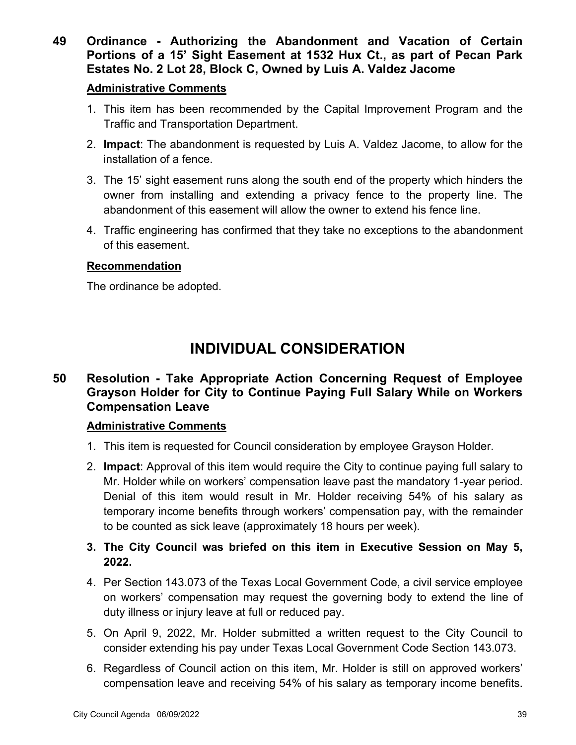**49 Ordinance - Authorizing the Abandonment and Vacation of Certain Portions of a 15' Sight Easement at 1532 Hux Ct., as part of Pecan Park Estates No. 2 Lot 28, Block C, Owned by Luis A. Valdez Jacome**

### **Administrative Comments**

- 1. This item has been recommended by the Capital Improvement Program and the Traffic and Transportation Department.
- 2. **Impact**: The abandonment is requested by Luis A. Valdez Jacome, to allow for the installation of a fence.
- 3. The 15' sight easement runs along the south end of the property which hinders the owner from installing and extending a privacy fence to the property line. The abandonment of this easement will allow the owner to extend his fence line.
- 4. Traffic engineering has confirmed that they take no exceptions to the abandonment of this easement.

### **Recommendation**

The ordinance be adopted.

# **INDIVIDUAL CONSIDERATION**

## **50 Resolution - Take Appropriate Action Concerning Request of Employee Grayson Holder for City to Continue Paying Full Salary While on Workers Compensation Leave**

### **Administrative Comments**

- 1. This item is requested for Council consideration by employee Grayson Holder.
- 2. **Impact**: Approval of this item would require the City to continue paying full salary to Mr. Holder while on workers' compensation leave past the mandatory 1-year period. Denial of this item would result in Mr. Holder receiving 54% of his salary as temporary income benefits through workers' compensation pay, with the remainder to be counted as sick leave (approximately 18 hours per week).

## **3. The City Council was briefed on this item in Executive Session on May 5, 2022.**

- 4. Per Section 143.073 of the Texas Local Government Code, a civil service employee on workers' compensation may request the governing body to extend the line of duty illness or injury leave at full or reduced pay.
- 5. On April 9, 2022, Mr. Holder submitted a written request to the City Council to consider extending his pay under Texas Local Government Code Section 143.073.
- 6. Regardless of Council action on this item, Mr. Holder is still on approved workers' compensation leave and receiving 54% of his salary as temporary income benefits.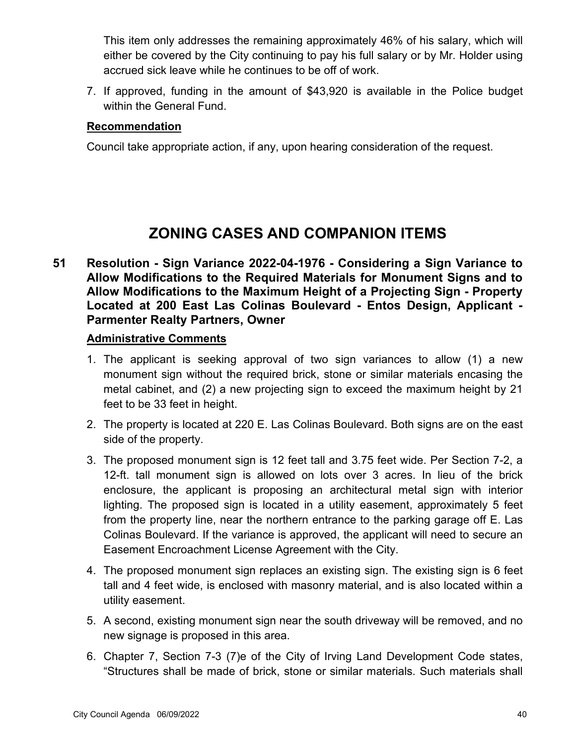This item only addresses the remaining approximately 46% of his salary, which will either be covered by the City continuing to pay his full salary or by Mr. Holder using accrued sick leave while he continues to be off of work.

7. If approved, funding in the amount of \$43,920 is available in the Police budget within the General Fund.

### **Recommendation**

Council take appropriate action, if any, upon hearing consideration of the request.

# **ZONING CASES AND COMPANION ITEMS**

**51 Resolution - Sign Variance 2022-04-1976 - Considering a Sign Variance to Allow Modifications to the Required Materials for Monument Signs and to Allow Modifications to the Maximum Height of a Projecting Sign - Property Located at 200 East Las Colinas Boulevard - Entos Design, Applicant - Parmenter Realty Partners, Owner**

- 1. The applicant is seeking approval of two sign variances to allow (1) a new monument sign without the required brick, stone or similar materials encasing the metal cabinet, and (2) a new projecting sign to exceed the maximum height by 21 feet to be 33 feet in height.
- 2. The property is located at 220 E. Las Colinas Boulevard. Both signs are on the east side of the property.
- 3. The proposed monument sign is 12 feet tall and 3.75 feet wide. Per Section 7-2, a 12-ft. tall monument sign is allowed on lots over 3 acres. In lieu of the brick enclosure, the applicant is proposing an architectural metal sign with interior lighting. The proposed sign is located in a utility easement, approximately 5 feet from the property line, near the northern entrance to the parking garage off E. Las Colinas Boulevard. If the variance is approved, the applicant will need to secure an Easement Encroachment License Agreement with the City.
- 4. The proposed monument sign replaces an existing sign. The existing sign is 6 feet tall and 4 feet wide, is enclosed with masonry material, and is also located within a utility easement.
- 5. A second, existing monument sign near the south driveway will be removed, and no new signage is proposed in this area.
- 6. Chapter 7, Section 7-3 (7)e of the City of Irving Land Development Code states, "Structures shall be made of brick, stone or similar materials. Such materials shall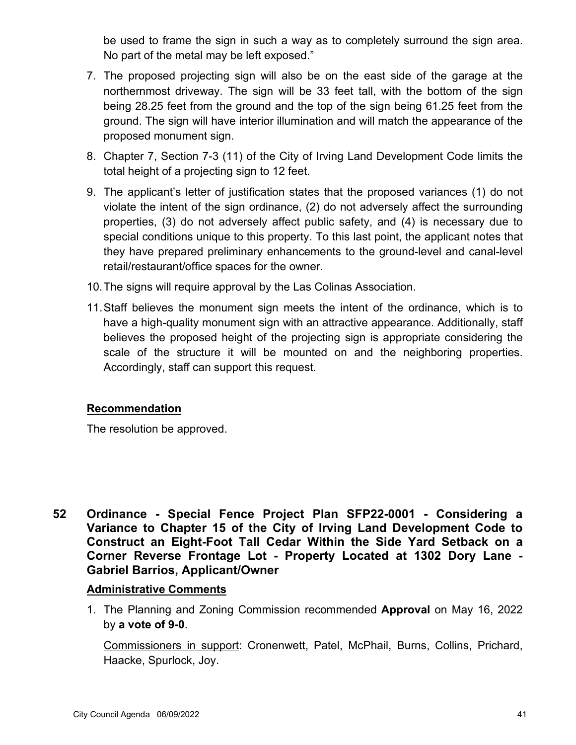be used to frame the sign in such a way as to completely surround the sign area. No part of the metal may be left exposed."

- 7. The proposed projecting sign will also be on the east side of the garage at the northernmost driveway. The sign will be 33 feet tall, with the bottom of the sign being 28.25 feet from the ground and the top of the sign being 61.25 feet from the ground. The sign will have interior illumination and will match the appearance of the proposed monument sign.
- 8. Chapter 7, Section 7-3 (11) of the City of Irving Land Development Code limits the total height of a projecting sign to 12 feet.
- 9. The applicant's letter of justification states that the proposed variances (1) do not violate the intent of the sign ordinance, (2) do not adversely affect the surrounding properties, (3) do not adversely affect public safety, and (4) is necessary due to special conditions unique to this property. To this last point, the applicant notes that they have prepared preliminary enhancements to the ground-level and canal-level retail/restaurant/office spaces for the owner.
- 10.The signs will require approval by the Las Colinas Association.
- 11.Staff believes the monument sign meets the intent of the ordinance, which is to have a high-quality monument sign with an attractive appearance. Additionally, staff believes the proposed height of the projecting sign is appropriate considering the scale of the structure it will be mounted on and the neighboring properties. Accordingly, staff can support this request.

### **Recommendation**

The resolution be approved.

**52 Ordinance - Special Fence Project Plan SFP22-0001 - Considering a Variance to Chapter 15 of the City of Irving Land Development Code to Construct an Eight-Foot Tall Cedar Within the Side Yard Setback on a Corner Reverse Frontage Lot - Property Located at 1302 Dory Lane - Gabriel Barrios, Applicant/Owner**

### **Administrative Comments**

1. The Planning and Zoning Commission recommended **Approval** on May 16, 2022 by **a vote of 9-0**.

Commissioners in support: Cronenwett, Patel, McPhail, Burns, Collins, Prichard, Haacke, Spurlock, Joy.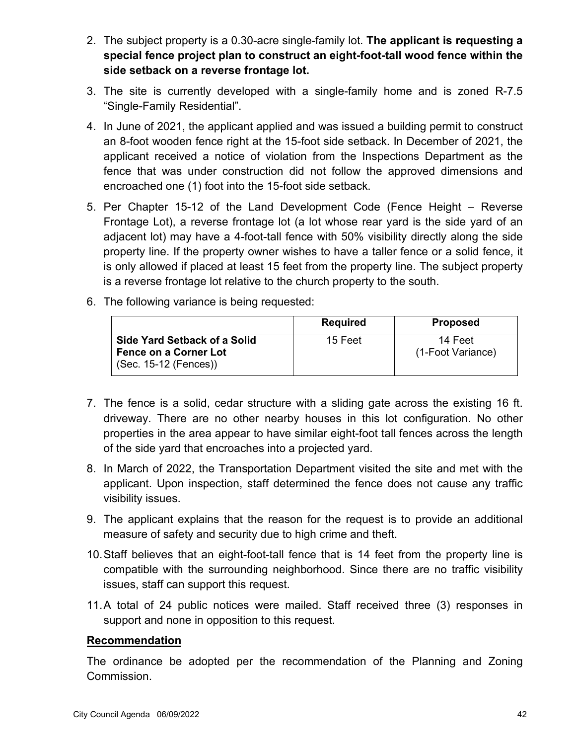- 2. The subject property is a 0.30-acre single-family lot. **The applicant is requesting a special fence project plan to construct an eight-foot-tall wood fence within the side setback on a reverse frontage lot.**
- 3. The site is currently developed with a single-family home and is zoned R-7.5 "Single-Family Residential".
- 4. In June of 2021, the applicant applied and was issued a building permit to construct an 8-foot wooden fence right at the 15-foot side setback. In December of 2021, the applicant received a notice of violation from the Inspections Department as the fence that was under construction did not follow the approved dimensions and encroached one (1) foot into the 15-foot side setback.
- 5. Per Chapter 15-12 of the Land Development Code (Fence Height Reverse Frontage Lot), a reverse frontage lot (a lot whose rear yard is the side yard of an adjacent lot) may have a 4-foot-tall fence with 50% visibility directly along the side property line. If the property owner wishes to have a taller fence or a solid fence, it is only allowed if placed at least 15 feet from the property line. The subject property is a reverse frontage lot relative to the church property to the south.
- 6. The following variance is being requested:

|                                                                                       | <b>Required</b> | <b>Proposed</b>              |
|---------------------------------------------------------------------------------------|-----------------|------------------------------|
| Side Yard Setback of a Solid<br><b>Fence on a Corner Lot</b><br>(Sec. 15-12 (Fences)) | 15 Feet         | 14 Feet<br>(1-Foot Variance) |

- 7. The fence is a solid, cedar structure with a sliding gate across the existing 16 ft. driveway. There are no other nearby houses in this lot configuration. No other properties in the area appear to have similar eight-foot tall fences across the length of the side yard that encroaches into a projected yard.
- 8. In March of 2022, the Transportation Department visited the site and met with the applicant. Upon inspection, staff determined the fence does not cause any traffic visibility issues.
- 9. The applicant explains that the reason for the request is to provide an additional measure of safety and security due to high crime and theft.
- 10.Staff believes that an eight-foot-tall fence that is 14 feet from the property line is compatible with the surrounding neighborhood. Since there are no traffic visibility issues, staff can support this request.
- 11.A total of 24 public notices were mailed. Staff received three (3) responses in support and none in opposition to this request.

The ordinance be adopted per the recommendation of the Planning and Zoning Commission.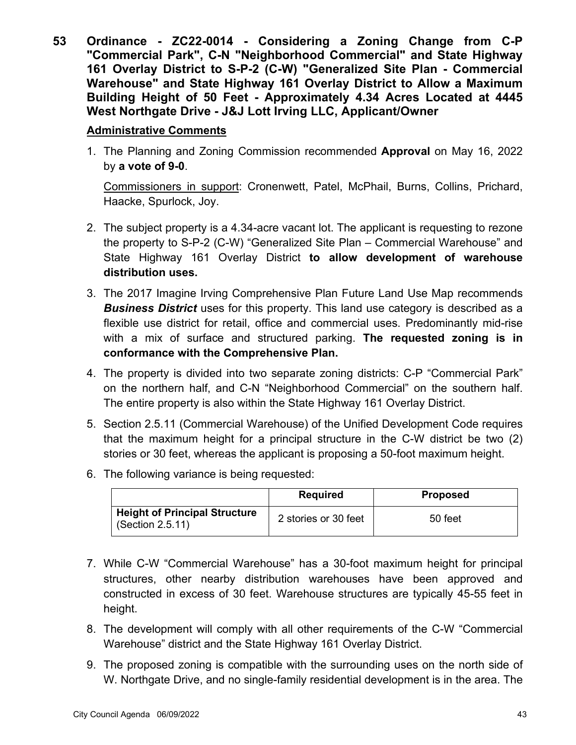**53 Ordinance - ZC22-0014 - Considering a Zoning Change from C-P "Commercial Park", C-N "Neighborhood Commercial" and State Highway 161 Overlay District to S-P-2 (C-W) "Generalized Site Plan - Commercial Warehouse" and State Highway 161 Overlay District to Allow a Maximum Building Height of 50 Feet - Approximately 4.34 Acres Located at 4445 West Northgate Drive - J&J Lott Irving LLC, Applicant/Owner**

### **Administrative Comments**

1. The Planning and Zoning Commission recommended **Approval** on May 16, 2022 by **a vote of 9-0**.

Commissioners in support: Cronenwett, Patel, McPhail, Burns, Collins, Prichard, Haacke, Spurlock, Joy.

- 2. The subject property is a 4.34-acre vacant lot. The applicant is requesting to rezone the property to S-P-2 (C-W) "Generalized Site Plan – Commercial Warehouse" and State Highway 161 Overlay District **to allow development of warehouse distribution uses.**
- 3. The 2017 Imagine Irving Comprehensive Plan Future Land Use Map recommends *Business District* uses for this property. This land use category is described as a flexible use district for retail, office and commercial uses. Predominantly mid-rise with a mix of surface and structured parking. **The requested zoning is in conformance with the Comprehensive Plan.**
- 4. The property is divided into two separate zoning districts: C-P "Commercial Park" on the northern half, and C-N "Neighborhood Commercial" on the southern half. The entire property is also within the State Highway 161 Overlay District.
- 5. Section 2.5.11 (Commercial Warehouse) of the Unified Development Code requires that the maximum height for a principal structure in the C-W district be two (2) stories or 30 feet, whereas the applicant is proposing a 50-foot maximum height.
- 6. The following variance is being requested:

|                                                          | <b>Required</b>      | <b>Proposed</b> |
|----------------------------------------------------------|----------------------|-----------------|
| <b>Height of Principal Structure</b><br>(Section 2.5.11) | 2 stories or 30 feet | 50 feet         |

- 7. While C-W "Commercial Warehouse" has a 30-foot maximum height for principal structures, other nearby distribution warehouses have been approved and constructed in excess of 30 feet. Warehouse structures are typically 45-55 feet in height.
- 8. The development will comply with all other requirements of the C-W "Commercial Warehouse" district and the State Highway 161 Overlay District.
- 9. The proposed zoning is compatible with the surrounding uses on the north side of W. Northgate Drive, and no single-family residential development is in the area. The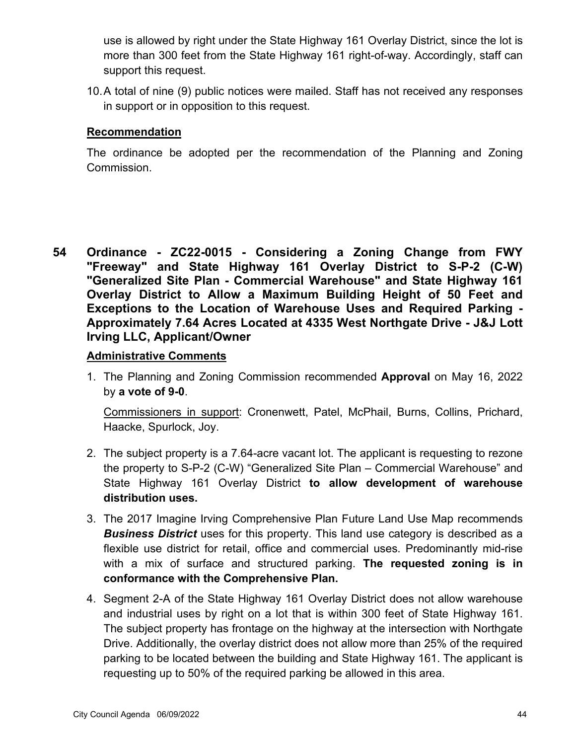use is allowed by right under the State Highway 161 Overlay District, since the lot is more than 300 feet from the State Highway 161 right-of-way. Accordingly, staff can support this request.

10.A total of nine (9) public notices were mailed. Staff has not received any responses in support or in opposition to this request.

### **Recommendation**

The ordinance be adopted per the recommendation of the Planning and Zoning Commission.

**54 Ordinance - ZC22-0015 - Considering a Zoning Change from FWY "Freeway" and State Highway 161 Overlay District to S-P-2 (C-W) "Generalized Site Plan - Commercial Warehouse" and State Highway 161 Overlay District to Allow a Maximum Building Height of 50 Feet and Exceptions to the Location of Warehouse Uses and Required Parking - Approximately 7.64 Acres Located at 4335 West Northgate Drive - J&J Lott Irving LLC, Applicant/Owner**

### **Administrative Comments**

1. The Planning and Zoning Commission recommended **Approval** on May 16, 2022 by **a vote of 9-0**.

Commissioners in support: Cronenwett, Patel, McPhail, Burns, Collins, Prichard, Haacke, Spurlock, Joy.

- 2. The subject property is a 7.64-acre vacant lot. The applicant is requesting to rezone the property to S-P-2 (C-W) "Generalized Site Plan – Commercial Warehouse" and State Highway 161 Overlay District **to allow development of warehouse distribution uses.**
- 3. The 2017 Imagine Irving Comprehensive Plan Future Land Use Map recommends *Business District* uses for this property. This land use category is described as a flexible use district for retail, office and commercial uses. Predominantly mid-rise with a mix of surface and structured parking. **The requested zoning is in conformance with the Comprehensive Plan.**
- 4. Segment 2-A of the State Highway 161 Overlay District does not allow warehouse and industrial uses by right on a lot that is within 300 feet of State Highway 161. The subject property has frontage on the highway at the intersection with Northgate Drive. Additionally, the overlay district does not allow more than 25% of the required parking to be located between the building and State Highway 161. The applicant is requesting up to 50% of the required parking be allowed in this area.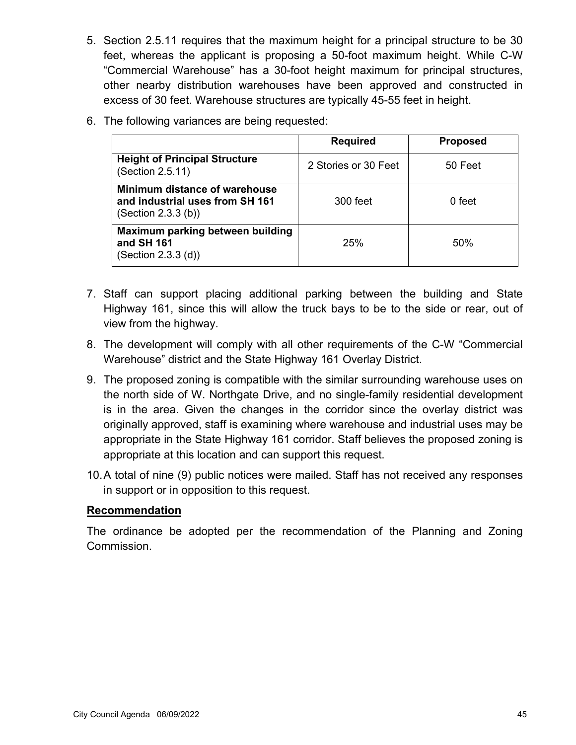- 5. Section 2.5.11 requires that the maximum height for a principal structure to be 30 feet, whereas the applicant is proposing a 50-foot maximum height. While C-W "Commercial Warehouse" has a 30-foot height maximum for principal structures, other nearby distribution warehouses have been approved and constructed in excess of 30 feet. Warehouse structures are typically 45-55 feet in height.
- 6. The following variances are being requested:

|                                                                                        | <b>Required</b>      | <b>Proposed</b> |
|----------------------------------------------------------------------------------------|----------------------|-----------------|
| <b>Height of Principal Structure</b><br>(Section 2.5.11)                               | 2 Stories or 30 Feet | 50 Feet         |
| Minimum distance of warehouse<br>and industrial uses from SH 161<br>(Section 2.3.3(b)) | 300 feet             | $0$ feet        |
| Maximum parking between building<br>and SH 161<br>(Section 2.3.3 (d))                  | 25%                  | 50%             |

- 7. Staff can support placing additional parking between the building and State Highway 161, since this will allow the truck bays to be to the side or rear, out of view from the highway.
- 8. The development will comply with all other requirements of the C-W "Commercial Warehouse" district and the State Highway 161 Overlay District.
- 9. The proposed zoning is compatible with the similar surrounding warehouse uses on the north side of W. Northgate Drive, and no single-family residential development is in the area. Given the changes in the corridor since the overlay district was originally approved, staff is examining where warehouse and industrial uses may be appropriate in the State Highway 161 corridor. Staff believes the proposed zoning is appropriate at this location and can support this request.
- 10.A total of nine (9) public notices were mailed. Staff has not received any responses in support or in opposition to this request.

The ordinance be adopted per the recommendation of the Planning and Zoning Commission.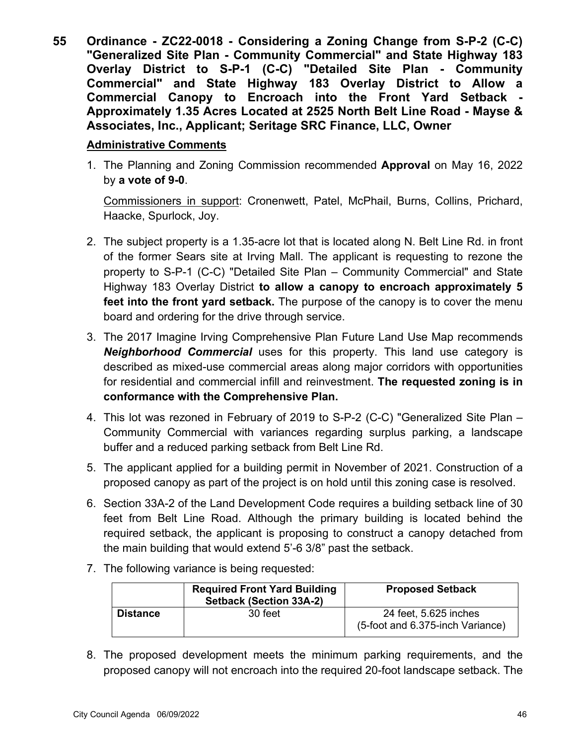**55 Ordinance - ZC22-0018 - Considering a Zoning Change from S-P-2 (C-C) "Generalized Site Plan - Community Commercial" and State Highway 183 Overlay District to S-P-1 (C-C) "Detailed Site Plan - Community Commercial" and State Highway 183 Overlay District to Allow a Commercial Canopy to Encroach into the Front Yard Setback - Approximately 1.35 Acres Located at 2525 North Belt Line Road - Mayse & Associates, Inc., Applicant; Seritage SRC Finance, LLC, Owner**

### **Administrative Comments**

1. The Planning and Zoning Commission recommended **Approval** on May 16, 2022 by **a vote of 9-0**.

Commissioners in support: Cronenwett, Patel, McPhail, Burns, Collins, Prichard, Haacke, Spurlock, Joy.

- 2. The subject property is a 1.35-acre lot that is located along N. Belt Line Rd. in front of the former Sears site at Irving Mall. The applicant is requesting to rezone the property to S-P-1 (C-C) "Detailed Site Plan – Community Commercial" and State Highway 183 Overlay District **to allow a canopy to encroach approximately 5 feet into the front yard setback.** The purpose of the canopy is to cover the menu board and ordering for the drive through service.
- 3. The 2017 Imagine Irving Comprehensive Plan Future Land Use Map recommends *Neighborhood Commercial* uses for this property. This land use category is described as mixed-use commercial areas along major corridors with opportunities for residential and commercial infill and reinvestment. **The requested zoning is in conformance with the Comprehensive Plan.**
- 4. This lot was rezoned in February of 2019 to S-P-2 (C-C) "Generalized Site Plan Community Commercial with variances regarding surplus parking, a landscape buffer and a reduced parking setback from Belt Line Rd.
- 5. The applicant applied for a building permit in November of 2021. Construction of a proposed canopy as part of the project is on hold until this zoning case is resolved.
- 6. Section 33A-2 of the Land Development Code requires a building setback line of 30 feet from Belt Line Road. Although the primary building is located behind the required setback, the applicant is proposing to construct a canopy detached from the main building that would extend 5'-6 3/8" past the setback.
- 7. The following variance is being requested:

|                 | <b>Required Front Yard Building</b><br><b>Setback (Section 33A-2)</b> | <b>Proposed Setback</b>                                   |
|-----------------|-----------------------------------------------------------------------|-----------------------------------------------------------|
| <b>Distance</b> | 30 feet                                                               | 24 feet, 5.625 inches<br>(5-foot and 6.375-inch Variance) |

8. The proposed development meets the minimum parking requirements, and the proposed canopy will not encroach into the required 20-foot landscape setback. The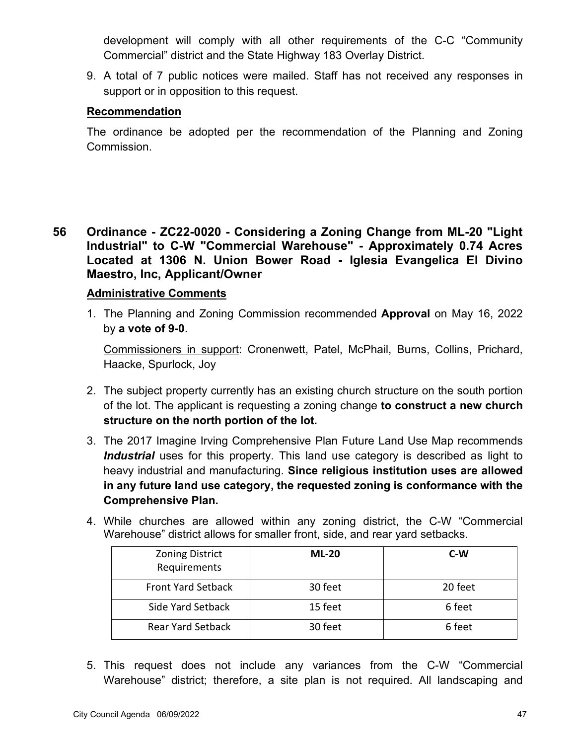development will comply with all other requirements of the C-C "Community Commercial" district and the State Highway 183 Overlay District.

9. A total of 7 public notices were mailed. Staff has not received any responses in support or in opposition to this request.

### **Recommendation**

The ordinance be adopted per the recommendation of the Planning and Zoning Commission.

**56 Ordinance - ZC22-0020 - Considering a Zoning Change from ML-20 "Light Industrial" to C-W "Commercial Warehouse" - Approximately 0.74 Acres Located at 1306 N. Union Bower Road - Iglesia Evangelica El Divino Maestro, Inc, Applicant/Owner**

### **Administrative Comments**

1. The Planning and Zoning Commission recommended **Approval** on May 16, 2022 by **a vote of 9-0**.

Commissioners in support: Cronenwett, Patel, McPhail, Burns, Collins, Prichard, Haacke, Spurlock, Joy

- 2. The subject property currently has an existing church structure on the south portion of the lot. The applicant is requesting a zoning change **to construct a new church structure on the north portion of the lot.**
- 3. The 2017 Imagine Irving Comprehensive Plan Future Land Use Map recommends *Industrial* uses for this property. This land use category is described as light to heavy industrial and manufacturing. **Since religious institution uses are allowed in any future land use category, the requested zoning is conformance with the Comprehensive Plan.**
- 4. While churches are allowed within any zoning district, the C-W "Commercial Warehouse" district allows for smaller front, side, and rear yard setbacks.

| <b>Zoning District</b><br>Requirements | $ML-20$ | C-W     |
|----------------------------------------|---------|---------|
| <b>Front Yard Setback</b>              | 30 feet | 20 feet |
| Side Yard Setback                      | 15 feet | 6 feet  |
| <b>Rear Yard Setback</b>               | 30 feet | 6 feet  |

5. This request does not include any variances from the C-W "Commercial Warehouse" district; therefore, a site plan is not required. All landscaping and